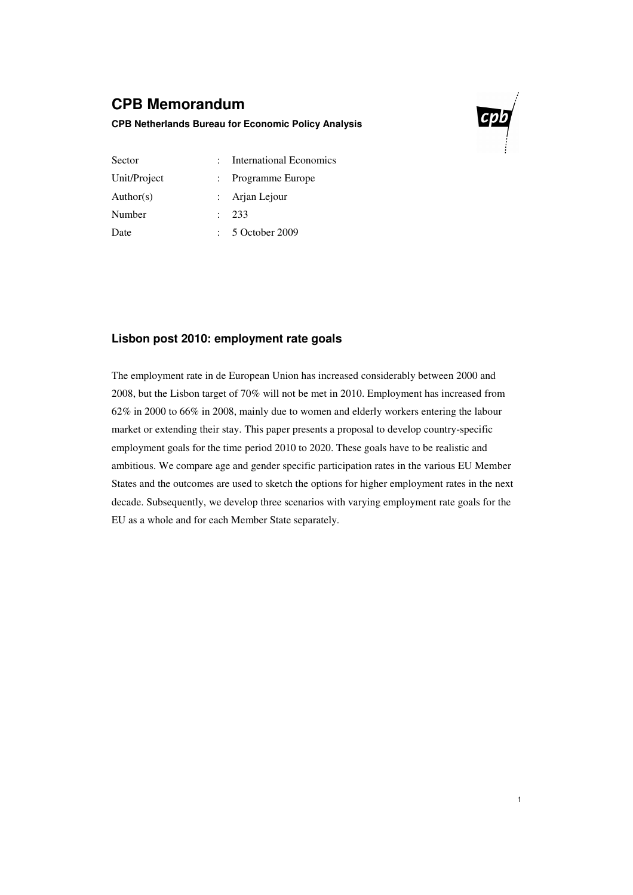## **CPB Memorandum**

### **CPB Netherlands Bureau for Economic Policy Analysis**



1

| Sector       | <b>International Economics</b> |
|--------------|--------------------------------|
| Unit/Project | : Programme Europe             |
| Author(s)    | : Arjan Lejour                 |
| Number       | : 233                          |
| Date         | 5 October 2009                 |

## **Lisbon post 2010: employment rate goals**

The employment rate in de European Union has increased considerably between 2000 and 2008, but the Lisbon target of 70% will not be met in 2010. Employment has increased from 62% in 2000 to 66% in 2008, mainly due to women and elderly workers entering the labour market or extending their stay. This paper presents a proposal to develop country-specific employment goals for the time period 2010 to 2020. These goals have to be realistic and ambitious. We compare age and gender specific participation rates in the various EU Member States and the outcomes are used to sketch the options for higher employment rates in the next decade. Subsequently, we develop three scenarios with varying employment rate goals for the EU as a whole and for each Member State separately.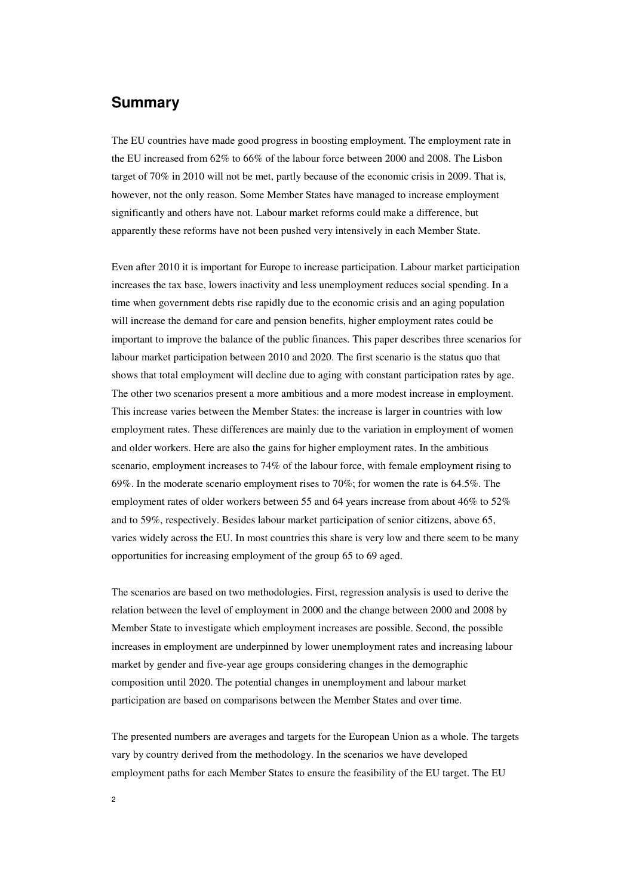## **Summary**

The EU countries have made good progress in boosting employment. The employment rate in the EU increased from 62% to 66% of the labour force between 2000 and 2008. The Lisbon target of 70% in 2010 will not be met, partly because of the economic crisis in 2009. That is, however, not the only reason. Some Member States have managed to increase employment significantly and others have not. Labour market reforms could make a difference, but apparently these reforms have not been pushed very intensively in each Member State.

Even after 2010 it is important for Europe to increase participation. Labour market participation increases the tax base, lowers inactivity and less unemployment reduces social spending. In a time when government debts rise rapidly due to the economic crisis and an aging population will increase the demand for care and pension benefits, higher employment rates could be important to improve the balance of the public finances. This paper describes three scenarios for labour market participation between 2010 and 2020. The first scenario is the status quo that shows that total employment will decline due to aging with constant participation rates by age. The other two scenarios present a more ambitious and a more modest increase in employment. This increase varies between the Member States: the increase is larger in countries with low employment rates. These differences are mainly due to the variation in employment of women and older workers. Here are also the gains for higher employment rates. In the ambitious scenario, employment increases to 74% of the labour force, with female employment rising to 69%. In the moderate scenario employment rises to 70%; for women the rate is 64.5%. The employment rates of older workers between 55 and 64 years increase from about 46% to 52% and to 59%, respectively. Besides labour market participation of senior citizens, above 65, varies widely across the EU. In most countries this share is very low and there seem to be many opportunities for increasing employment of the group 65 to 69 aged.

The scenarios are based on two methodologies. First, regression analysis is used to derive the relation between the level of employment in 2000 and the change between 2000 and 2008 by Member State to investigate which employment increases are possible. Second, the possible increases in employment are underpinned by lower unemployment rates and increasing labour market by gender and five-year age groups considering changes in the demographic composition until 2020. The potential changes in unemployment and labour market participation are based on comparisons between the Member States and over time.

The presented numbers are averages and targets for the European Union as a whole. The targets vary by country derived from the methodology. In the scenarios we have developed employment paths for each Member States to ensure the feasibility of the EU target. The EU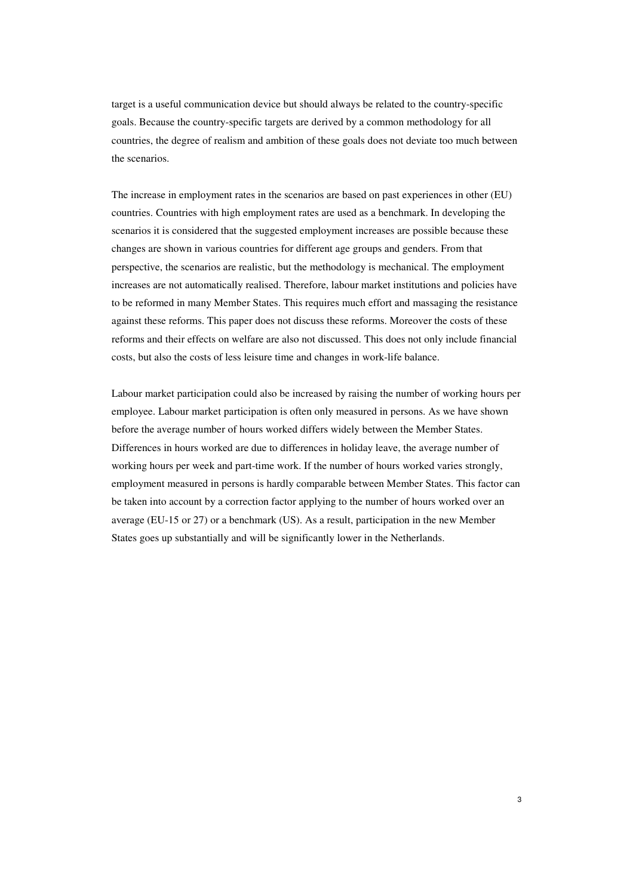target is a useful communication device but should always be related to the country-specific goals. Because the country-specific targets are derived by a common methodology for all countries, the degree of realism and ambition of these goals does not deviate too much between the scenarios.

The increase in employment rates in the scenarios are based on past experiences in other (EU) countries. Countries with high employment rates are used as a benchmark. In developing the scenarios it is considered that the suggested employment increases are possible because these changes are shown in various countries for different age groups and genders. From that perspective, the scenarios are realistic, but the methodology is mechanical. The employment increases are not automatically realised. Therefore, labour market institutions and policies have to be reformed in many Member States. This requires much effort and massaging the resistance against these reforms. This paper does not discuss these reforms. Moreover the costs of these reforms and their effects on welfare are also not discussed. This does not only include financial costs, but also the costs of less leisure time and changes in work-life balance.

Labour market participation could also be increased by raising the number of working hours per employee. Labour market participation is often only measured in persons. As we have shown before the average number of hours worked differs widely between the Member States. Differences in hours worked are due to differences in holiday leave, the average number of working hours per week and part-time work. If the number of hours worked varies strongly, employment measured in persons is hardly comparable between Member States. This factor can be taken into account by a correction factor applying to the number of hours worked over an average (EU-15 or 27) or a benchmark (US). As a result, participation in the new Member States goes up substantially and will be significantly lower in the Netherlands.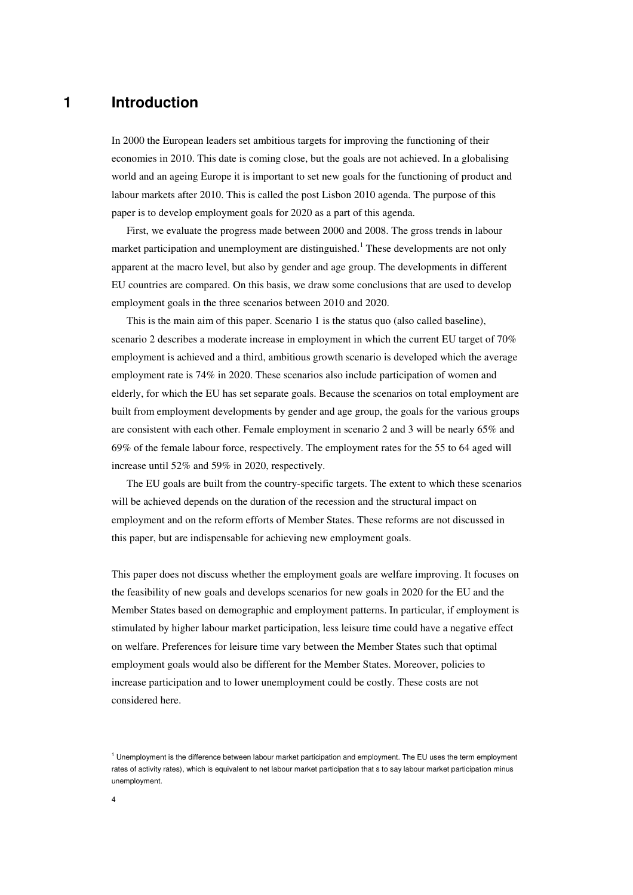## **1 Introduction**

In 2000 the European leaders set ambitious targets for improving the functioning of their economies in 2010. This date is coming close, but the goals are not achieved. In a globalising world and an ageing Europe it is important to set new goals for the functioning of product and labour markets after 2010. This is called the post Lisbon 2010 agenda. The purpose of this paper is to develop employment goals for 2020 as a part of this agenda.

First, we evaluate the progress made between 2000 and 2008. The gross trends in labour market participation and unemployment are distinguished.<sup>1</sup> These developments are not only apparent at the macro level, but also by gender and age group. The developments in different EU countries are compared. On this basis, we draw some conclusions that are used to develop employment goals in the three scenarios between 2010 and 2020.

This is the main aim of this paper. Scenario 1 is the status quo (also called baseline), scenario 2 describes a moderate increase in employment in which the current EU target of 70% employment is achieved and a third, ambitious growth scenario is developed which the average employment rate is 74% in 2020. These scenarios also include participation of women and elderly, for which the EU has set separate goals. Because the scenarios on total employment are built from employment developments by gender and age group, the goals for the various groups are consistent with each other. Female employment in scenario 2 and 3 will be nearly 65% and 69% of the female labour force, respectively. The employment rates for the 55 to 64 aged will increase until 52% and 59% in 2020, respectively.

The EU goals are built from the country-specific targets. The extent to which these scenarios will be achieved depends on the duration of the recession and the structural impact on employment and on the reform efforts of Member States. These reforms are not discussed in this paper, but are indispensable for achieving new employment goals.

This paper does not discuss whether the employment goals are welfare improving. It focuses on the feasibility of new goals and develops scenarios for new goals in 2020 for the EU and the Member States based on demographic and employment patterns. In particular, if employment is stimulated by higher labour market participation, less leisure time could have a negative effect on welfare. Preferences for leisure time vary between the Member States such that optimal employment goals would also be different for the Member States. Moreover, policies to increase participation and to lower unemployment could be costly. These costs are not considered here.

<sup>&</sup>lt;sup>1</sup> Unemployment is the difference between labour market participation and employment. The EU uses the term employment rates of activity rates), which is equivalent to net labour market participation that s to say labour market participation minus unemployment.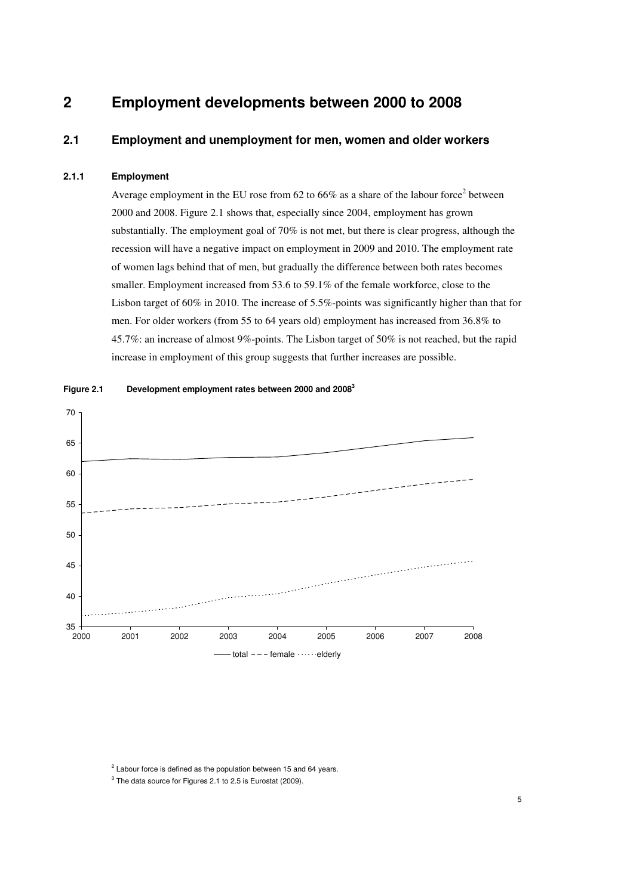## **2 Employment developments between 2000 to 2008**

### **2.1 Employment and unemployment for men, women and older workers**

#### **2.1.1 Employment**

Average employment in the EU rose from 62 to 66% as a share of the labour force<sup>2</sup> between 2000 and 2008. Figure 2.1 shows that, especially since 2004, employment has grown substantially. The employment goal of 70% is not met, but there is clear progress, although the recession will have a negative impact on employment in 2009 and 2010. The employment rate of women lags behind that of men, but gradually the difference between both rates becomes smaller. Employment increased from 53.6 to 59.1% of the female workforce, close to the Lisbon target of 60% in 2010. The increase of 5.5%-points was significantly higher than that for men. For older workers (from 55 to 64 years old) employment has increased from 36.8% to 45.7%: an increase of almost 9%-points. The Lisbon target of 50% is not reached, but the rapid increase in employment of this group suggests that further increases are possible.



**Figure 2.1 Development employment rates between 2000 and 2008<sup>3</sup>**

 $2$  Labour force is defined as the population between 15 and 64 years.

 $3$  The data source for Figures 2.1 to 2.5 is Eurostat (2009).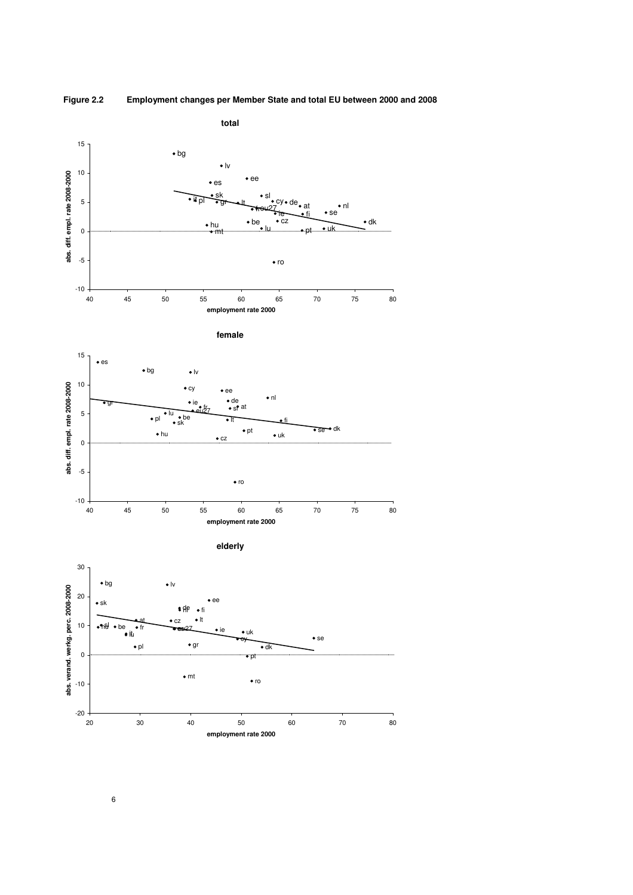



6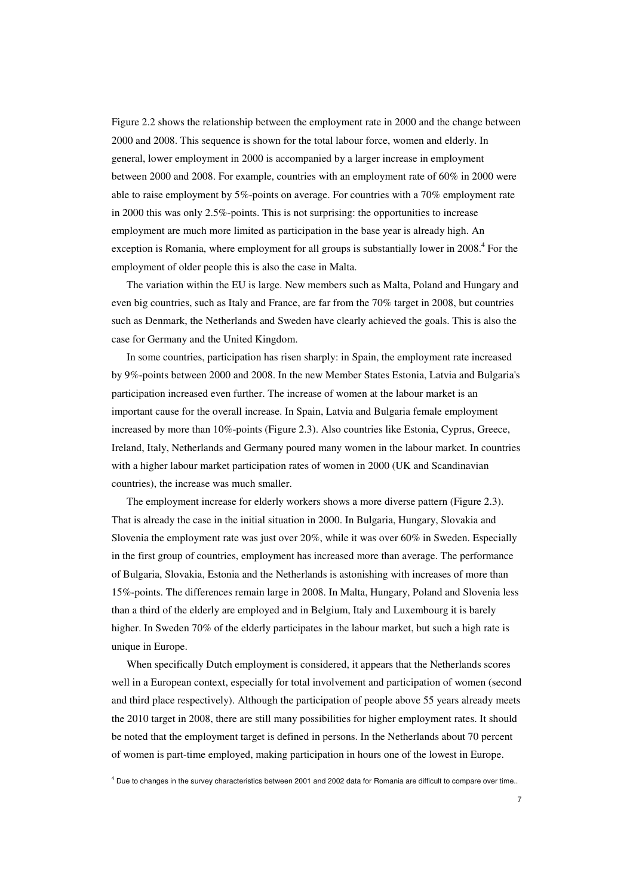Figure 2.2 shows the relationship between the employment rate in 2000 and the change between 2000 and 2008. This sequence is shown for the total labour force, women and elderly. In general, lower employment in 2000 is accompanied by a larger increase in employment between 2000 and 2008. For example, countries with an employment rate of 60% in 2000 were able to raise employment by 5%-points on average. For countries with a 70% employment rate in 2000 this was only 2.5%-points. This is not surprising: the opportunities to increase employment are much more limited as participation in the base year is already high. An exception is Romania, where employment for all groups is substantially lower in 2008.<sup>4</sup> For the employment of older people this is also the case in Malta.

The variation within the EU is large. New members such as Malta, Poland and Hungary and even big countries, such as Italy and France, are far from the 70% target in 2008, but countries such as Denmark, the Netherlands and Sweden have clearly achieved the goals. This is also the case for Germany and the United Kingdom.

In some countries, participation has risen sharply: in Spain, the employment rate increased by 9%-points between 2000 and 2008. In the new Member States Estonia, Latvia and Bulgaria's participation increased even further. The increase of women at the labour market is an important cause for the overall increase. In Spain, Latvia and Bulgaria female employment increased by more than 10%-points (Figure 2.3). Also countries like Estonia, Cyprus, Greece, Ireland, Italy, Netherlands and Germany poured many women in the labour market. In countries with a higher labour market participation rates of women in 2000 (UK and Scandinavian countries), the increase was much smaller.

The employment increase for elderly workers shows a more diverse pattern (Figure 2.3). That is already the case in the initial situation in 2000. In Bulgaria, Hungary, Slovakia and Slovenia the employment rate was just over 20%, while it was over 60% in Sweden. Especially in the first group of countries, employment has increased more than average. The performance of Bulgaria, Slovakia, Estonia and the Netherlands is astonishing with increases of more than 15%-points. The differences remain large in 2008. In Malta, Hungary, Poland and Slovenia less than a third of the elderly are employed and in Belgium, Italy and Luxembourg it is barely higher. In Sweden 70% of the elderly participates in the labour market, but such a high rate is unique in Europe.

When specifically Dutch employment is considered, it appears that the Netherlands scores well in a European context, especially for total involvement and participation of women (second and third place respectively). Although the participation of people above 55 years already meets the 2010 target in 2008, there are still many possibilities for higher employment rates. It should be noted that the employment target is defined in persons. In the Netherlands about 70 percent of women is part-time employed, making participation in hours one of the lowest in Europe.

<sup>4</sup> Due to changes in the survey characteristics between 2001 and 2002 data for Romania are difficult to compare over time..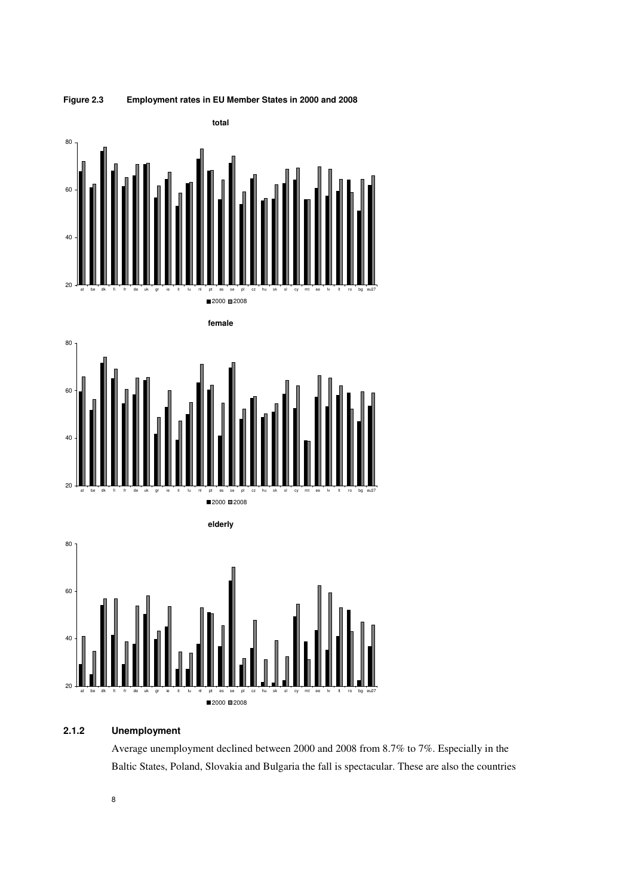

## **Figure 2.3 Employment rates in EU Member States in 2000 and 2008**



### **2.1.2 Unemployment**

Average unemployment declined between 2000 and 2008 from 8.7% to 7%. Especially in the Baltic States, Poland, Slovakia and Bulgaria the fall is spectacular. These are also the countries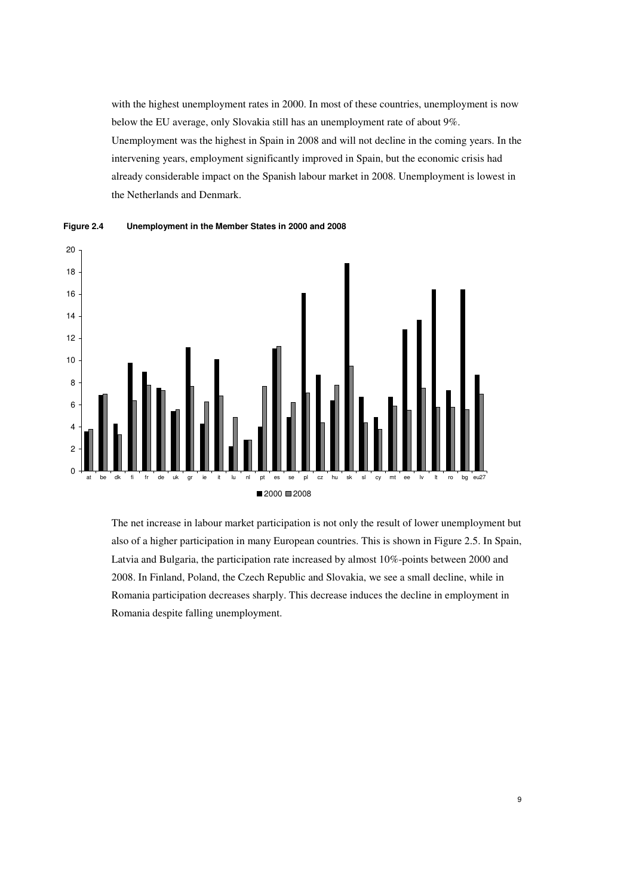with the highest unemployment rates in 2000. In most of these countries, unemployment is now below the EU average, only Slovakia still has an unemployment rate of about 9%. Unemployment was the highest in Spain in 2008 and will not decline in the coming years. In the intervening years, employment significantly improved in Spain, but the economic crisis had already considerable impact on the Spanish labour market in 2008. Unemployment is lowest in the Netherlands and Denmark.



**Figure 2.4 Unemployment in the Member States in 2000 and 2008** 

The net increase in labour market participation is not only the result of lower unemployment but also of a higher participation in many European countries. This is shown in Figure 2.5. In Spain, Latvia and Bulgaria, the participation rate increased by almost 10%-points between 2000 and 2008. In Finland, Poland, the Czech Republic and Slovakia, we see a small decline, while in Romania participation decreases sharply. This decrease induces the decline in employment in Romania despite falling unemployment.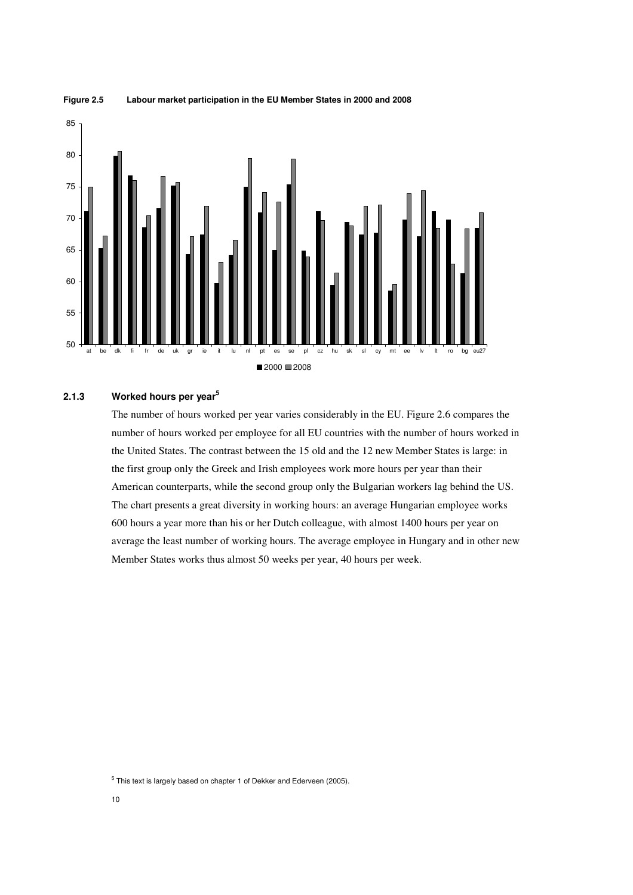



#### **2.1.3 Worked hours per year<sup>5</sup>**

The number of hours worked per year varies considerably in the EU. Figure 2.6 compares the number of hours worked per employee for all EU countries with the number of hours worked in the United States. The contrast between the 15 old and the 12 new Member States is large: in the first group only the Greek and Irish employees work more hours per year than their American counterparts, while the second group only the Bulgarian workers lag behind the US. The chart presents a great diversity in working hours: an average Hungarian employee works 600 hours a year more than his or her Dutch colleague, with almost 1400 hours per year on average the least number of working hours. The average employee in Hungary and in other new Member States works thus almost 50 weeks per year, 40 hours per week.

<sup>&</sup>lt;sup>5</sup> This text is largely based on chapter 1 of Dekker and Ederveen (2005).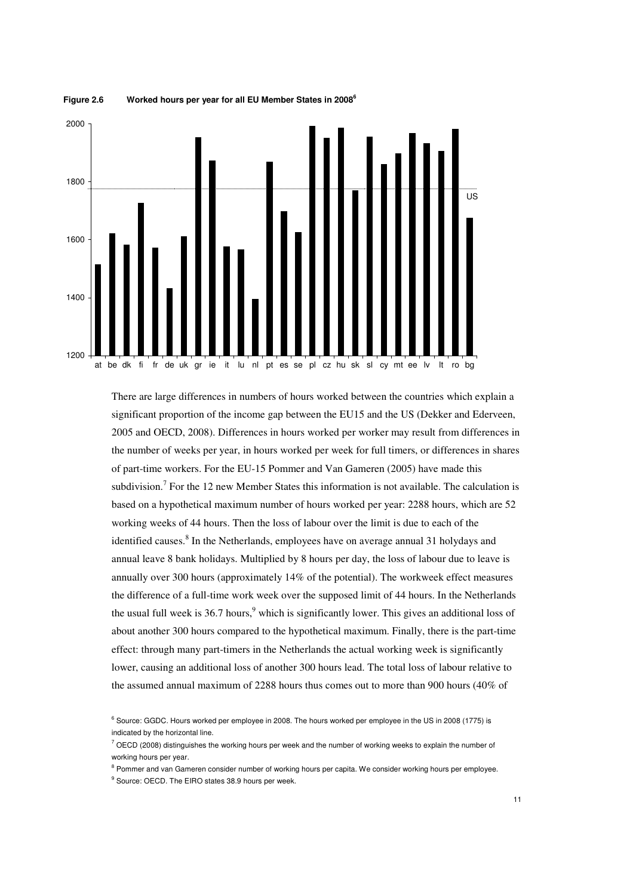

**Figure 2.6 Worked hours per year for all EU Member States in 2008<sup>6</sup>**

There are large differences in numbers of hours worked between the countries which explain a significant proportion of the income gap between the EU15 and the US (Dekker and Ederveen, 2005 and OECD, 2008). Differences in hours worked per worker may result from differences in the number of weeks per year, in hours worked per week for full timers, or differences in shares of part-time workers. For the EU-15 Pommer and Van Gameren (2005) have made this subdivision.<sup>7</sup> For the 12 new Member States this information is not available. The calculation is based on a hypothetical maximum number of hours worked per year: 2288 hours, which are 52 working weeks of 44 hours. Then the loss of labour over the limit is due to each of the identified causes.<sup>8</sup> In the Netherlands, employees have on average annual 31 holydays and annual leave 8 bank holidays. Multiplied by 8 hours per day, the loss of labour due to leave is annually over 300 hours (approximately 14% of the potential). The workweek effect measures the difference of a full-time work week over the supposed limit of 44 hours. In the Netherlands the usual full week is 36.7 hours,  $9^9$  which is significantly lower. This gives an additional loss of about another 300 hours compared to the hypothetical maximum. Finally, there is the part-time effect: through many part-timers in the Netherlands the actual working week is significantly lower, causing an additional loss of another 300 hours lead. The total loss of labour relative to the assumed annual maximum of 2288 hours thus comes out to more than 900 hours (40% of

<sup>&</sup>lt;sup>6</sup> Source: GGDC. Hours worked per employee in 2008. The hours worked per employee in the US in 2008 (1775) is indicated by the horizontal line.

 $^7$  OECD (2008) distinguishes the working hours per week and the number of working weeks to explain the number of working hours per year.

<sup>&</sup>lt;sup>8</sup> Pommer and van Gameren consider number of working hours per capita. We consider working hours per employee.

<sup>&</sup>lt;sup>9</sup> Source: OECD. The EIRO states 38.9 hours per week.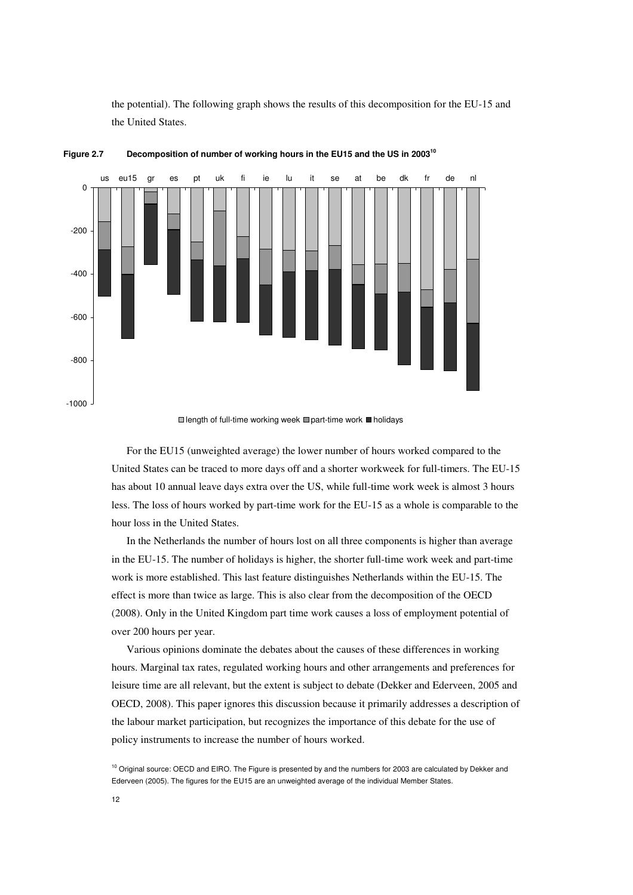the potential). The following graph shows the results of this decomposition for the EU-15 and the United States.



**Figure 2.7 Decomposition of number of working hours in the EU15 and the US in 2003<sup>10</sup>**



For the EU15 (unweighted average) the lower number of hours worked compared to the United States can be traced to more days off and a shorter workweek for full-timers. The EU-15 has about 10 annual leave days extra over the US, while full-time work week is almost 3 hours less. The loss of hours worked by part-time work for the EU-15 as a whole is comparable to the hour loss in the United States.

In the Netherlands the number of hours lost on all three components is higher than average in the EU-15. The number of holidays is higher, the shorter full-time work week and part-time work is more established. This last feature distinguishes Netherlands within the EU-15. The effect is more than twice as large. This is also clear from the decomposition of the OECD (2008). Only in the United Kingdom part time work causes a loss of employment potential of over 200 hours per year.

Various opinions dominate the debates about the causes of these differences in working hours. Marginal tax rates, regulated working hours and other arrangements and preferences for leisure time are all relevant, but the extent is subject to debate (Dekker and Ederveen, 2005 and OECD, 2008). This paper ignores this discussion because it primarily addresses a description of the labour market participation, but recognizes the importance of this debate for the use of policy instruments to increase the number of hours worked.

<sup>&</sup>lt;sup>10</sup> Original source: OECD and EIRO. The Figure is presented by and the numbers for 2003 are calculated by Dekker and Ederveen (2005). The figures for the EU15 are an unweighted average of the individual Member States.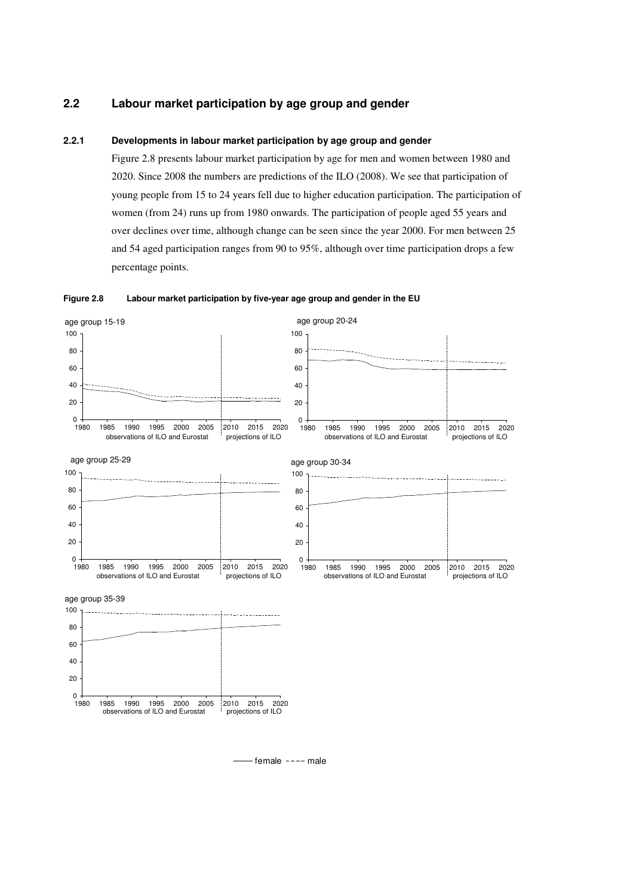## **2.2 Labour market participation by age group and gender**

#### **2.2.1 Developments in labour market participation by age group and gender**

Figure 2.8 presents labour market participation by age for men and women between 1980 and 2020. Since 2008 the numbers are predictions of the ILO (2008). We see that participation of young people from 15 to 24 years fell due to higher education participation. The participation of women (from 24) runs up from 1980 onwards. The participation of people aged 55 years and over declines over time, although change can be seen since the year 2000. For men between 25 and 54 aged participation ranges from 90 to 95%, although over time participation drops a few percentage points.





 $-$ female  $---$ male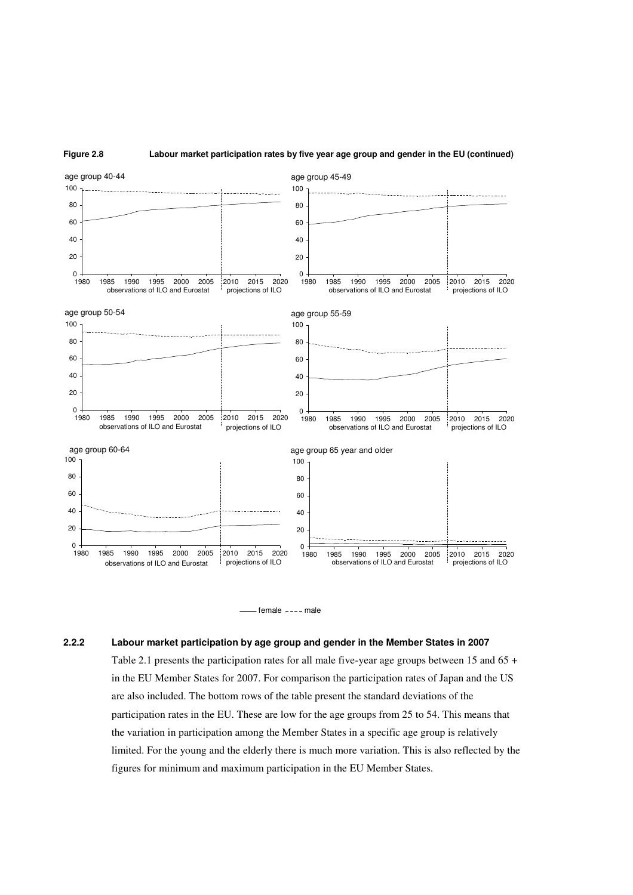





#### **2.2.2 Labour market participation by age group and gender in the Member States in 2007**

Table 2.1 presents the participation rates for all male five-year age groups between 15 and 65 + in the EU Member States for 2007. For comparison the participation rates of Japan and the US are also included. The bottom rows of the table present the standard deviations of the participation rates in the EU. These are low for the age groups from 25 to 54. This means that the variation in participation among the Member States in a specific age group is relatively limited. For the young and the elderly there is much more variation. This is also reflected by the figures for minimum and maximum participation in the EU Member States.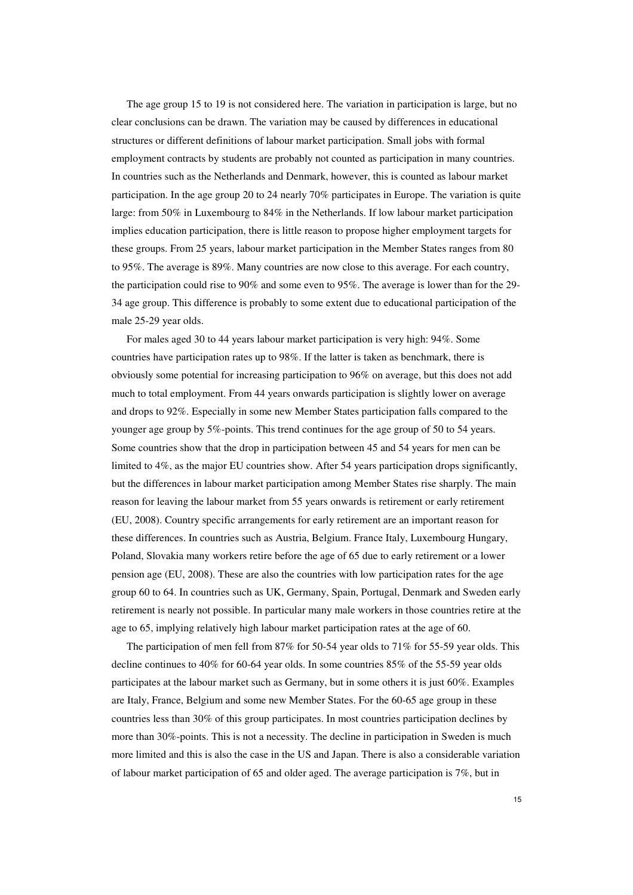The age group 15 to 19 is not considered here. The variation in participation is large, but no clear conclusions can be drawn. The variation may be caused by differences in educational structures or different definitions of labour market participation. Small jobs with formal employment contracts by students are probably not counted as participation in many countries. In countries such as the Netherlands and Denmark, however, this is counted as labour market participation. In the age group 20 to 24 nearly 70% participates in Europe. The variation is quite large: from 50% in Luxembourg to 84% in the Netherlands. If low labour market participation implies education participation, there is little reason to propose higher employment targets for these groups. From 25 years, labour market participation in the Member States ranges from 80 to 95%. The average is 89%. Many countries are now close to this average. For each country, the participation could rise to 90% and some even to 95%. The average is lower than for the 29- 34 age group. This difference is probably to some extent due to educational participation of the male 25-29 year olds.

For males aged 30 to 44 years labour market participation is very high: 94%. Some countries have participation rates up to 98%. If the latter is taken as benchmark, there is obviously some potential for increasing participation to 96% on average, but this does not add much to total employment. From 44 years onwards participation is slightly lower on average and drops to 92%. Especially in some new Member States participation falls compared to the younger age group by 5%-points. This trend continues for the age group of 50 to 54 years. Some countries show that the drop in participation between 45 and 54 years for men can be limited to 4%, as the major EU countries show. After 54 years participation drops significantly, but the differences in labour market participation among Member States rise sharply. The main reason for leaving the labour market from 55 years onwards is retirement or early retirement (EU, 2008). Country specific arrangements for early retirement are an important reason for these differences. In countries such as Austria, Belgium. France Italy, Luxembourg Hungary, Poland, Slovakia many workers retire before the age of 65 due to early retirement or a lower pension age (EU, 2008). These are also the countries with low participation rates for the age group 60 to 64. In countries such as UK, Germany, Spain, Portugal, Denmark and Sweden early retirement is nearly not possible. In particular many male workers in those countries retire at the age to 65, implying relatively high labour market participation rates at the age of 60.

The participation of men fell from 87% for 50-54 year olds to 71% for 55-59 year olds. This decline continues to 40% for 60-64 year olds. In some countries 85% of the 55-59 year olds participates at the labour market such as Germany, but in some others it is just 60%. Examples are Italy, France, Belgium and some new Member States. For the 60-65 age group in these countries less than 30% of this group participates. In most countries participation declines by more than 30%-points. This is not a necessity. The decline in participation in Sweden is much more limited and this is also the case in the US and Japan. There is also a considerable variation of labour market participation of 65 and older aged. The average participation is 7%, but in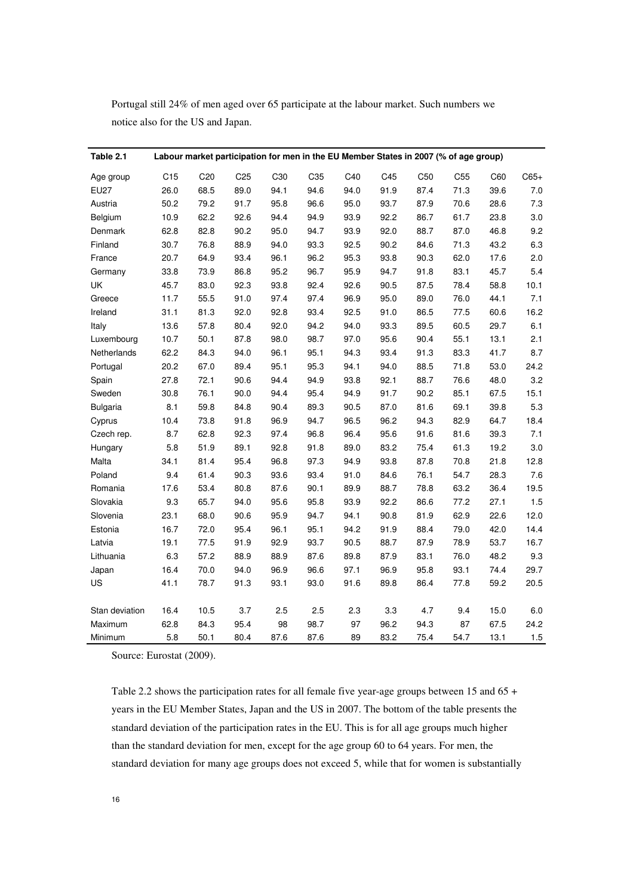Portugal still 24% of men aged over 65 participate at the labour market. Such numbers we notice also for the US and Japan.

| Table 2.1       |                 | Labour market participation for men in the EU Member States in 2007 (% of age group) |                 |      |                 |      |      |                 |                 |      |         |
|-----------------|-----------------|--------------------------------------------------------------------------------------|-----------------|------|-----------------|------|------|-----------------|-----------------|------|---------|
| Age group       | C <sub>15</sub> | C <sub>20</sub>                                                                      | C <sub>25</sub> | C30  | C <sub>35</sub> | C40  | C45  | C <sub>50</sub> | C <sub>55</sub> | C60  | $C65+$  |
| <b>EU27</b>     | 26.0            | 68.5                                                                                 | 89.0            | 94.1 | 94.6            | 94.0 | 91.9 | 87.4            | 71.3            | 39.6 | 7.0     |
| Austria         | 50.2            | 79.2                                                                                 | 91.7            | 95.8 | 96.6            | 95.0 | 93.7 | 87.9            | 70.6            | 28.6 | 7.3     |
| Belgium         | 10.9            | 62.2                                                                                 | 92.6            | 94.4 | 94.9            | 93.9 | 92.2 | 86.7            | 61.7            | 23.8 | 3.0     |
| Denmark         | 62.8            | 82.8                                                                                 | 90.2            | 95.0 | 94.7            | 93.9 | 92.0 | 88.7            | 87.0            | 46.8 | 9.2     |
| Finland         | 30.7            | 76.8                                                                                 | 88.9            | 94.0 | 93.3            | 92.5 | 90.2 | 84.6            | 71.3            | 43.2 | 6.3     |
| France          | 20.7            | 64.9                                                                                 | 93.4            | 96.1 | 96.2            | 95.3 | 93.8 | 90.3            | 62.0            | 17.6 | 2.0     |
| Germany         | 33.8            | 73.9                                                                                 | 86.8            | 95.2 | 96.7            | 95.9 | 94.7 | 91.8            | 83.1            | 45.7 | 5.4     |
| UK              | 45.7            | 83.0                                                                                 | 92.3            | 93.8 | 92.4            | 92.6 | 90.5 | 87.5            | 78.4            | 58.8 | 10.1    |
| Greece          | 11.7            | 55.5                                                                                 | 91.0            | 97.4 | 97.4            | 96.9 | 95.0 | 89.0            | 76.0            | 44.1 | 7.1     |
| Ireland         | 31.1            | 81.3                                                                                 | 92.0            | 92.8 | 93.4            | 92.5 | 91.0 | 86.5            | 77.5            | 60.6 | 16.2    |
| Italy           | 13.6            | 57.8                                                                                 | 80.4            | 92.0 | 94.2            | 94.0 | 93.3 | 89.5            | 60.5            | 29.7 | 6.1     |
| Luxembourg      | 10.7            | 50.1                                                                                 | 87.8            | 98.0 | 98.7            | 97.0 | 95.6 | 90.4            | 55.1            | 13.1 | 2.1     |
| Netherlands     | 62.2            | 84.3                                                                                 | 94.0            | 96.1 | 95.1            | 94.3 | 93.4 | 91.3            | 83.3            | 41.7 | $8.7\,$ |
| Portugal        | 20.2            | 67.0                                                                                 | 89.4            | 95.1 | 95.3            | 94.1 | 94.0 | 88.5            | 71.8            | 53.0 | 24.2    |
| Spain           | 27.8            | 72.1                                                                                 | 90.6            | 94.4 | 94.9            | 93.8 | 92.1 | 88.7            | 76.6            | 48.0 | 3.2     |
| Sweden          | 30.8            | 76.1                                                                                 | 90.0            | 94.4 | 95.4            | 94.9 | 91.7 | 90.2            | 85.1            | 67.5 | 15.1    |
| <b>Bulgaria</b> | 8.1             | 59.8                                                                                 | 84.8            | 90.4 | 89.3            | 90.5 | 87.0 | 81.6            | 69.1            | 39.8 | 5.3     |
| Cyprus          | 10.4            | 73.8                                                                                 | 91.8            | 96.9 | 94.7            | 96.5 | 96.2 | 94.3            | 82.9            | 64.7 | 18.4    |
| Czech rep.      | 8.7             | 62.8                                                                                 | 92.3            | 97.4 | 96.8            | 96.4 | 95.6 | 91.6            | 81.6            | 39.3 | 7.1     |
| Hungary         | 5.8             | 51.9                                                                                 | 89.1            | 92.8 | 91.8            | 89.0 | 83.2 | 75.4            | 61.3            | 19.2 | $3.0\,$ |
| Malta           | 34.1            | 81.4                                                                                 | 95.4            | 96.8 | 97.3            | 94.9 | 93.8 | 87.8            | 70.8            | 21.8 | 12.8    |
| Poland          | 9.4             | 61.4                                                                                 | 90.3            | 93.6 | 93.4            | 91.0 | 84.6 | 76.1            | 54.7            | 28.3 | $7.6\,$ |
| Romania         | 17.6            | 53.4                                                                                 | 80.8            | 87.6 | 90.1            | 89.9 | 88.7 | 78.8            | 63.2            | 36.4 | 19.5    |
| Slovakia        | 9.3             | 65.7                                                                                 | 94.0            | 95.6 | 95.8            | 93.9 | 92.2 | 86.6            | 77.2            | 27.1 | $1.5\,$ |
| Slovenia        | 23.1            | 68.0                                                                                 | 90.6            | 95.9 | 94.7            | 94.1 | 90.8 | 81.9            | 62.9            | 22.6 | 12.0    |
| Estonia         | 16.7            | 72.0                                                                                 | 95.4            | 96.1 | 95.1            | 94.2 | 91.9 | 88.4            | 79.0            | 42.0 | 14.4    |
| Latvia          | 19.1            | 77.5                                                                                 | 91.9            | 92.9 | 93.7            | 90.5 | 88.7 | 87.9            | 78.9            | 53.7 | 16.7    |
| Lithuania       | 6.3             | 57.2                                                                                 | 88.9            | 88.9 | 87.6            | 89.8 | 87.9 | 83.1            | 76.0            | 48.2 | 9.3     |
| Japan           | 16.4            | 70.0                                                                                 | 94.0            | 96.9 | 96.6            | 97.1 | 96.9 | 95.8            | 93.1            | 74.4 | 29.7    |
| US              | 41.1            | 78.7                                                                                 | 91.3            | 93.1 | 93.0            | 91.6 | 89.8 | 86.4            | 77.8            | 59.2 | 20.5    |
|                 |                 |                                                                                      |                 |      |                 |      |      |                 |                 |      |         |
| Stan deviation  | 16.4            | 10.5                                                                                 | 3.7             | 2.5  | 2.5             | 2.3  | 3.3  | 4.7             | 9.4             | 15.0 | $6.0\,$ |
| Maximum         | 62.8            | 84.3                                                                                 | 95.4            | 98   | 98.7            | 97   | 96.2 | 94.3            | 87              | 67.5 | 24.2    |
| Minimum         | 5.8             | 50.1                                                                                 | 80.4            | 87.6 | 87.6            | 89   | 83.2 | 75.4            | 54.7            | 13.1 | $1.5$   |

Source: Eurostat (2009).

Table 2.2 shows the participation rates for all female five year-age groups between 15 and 65 + years in the EU Member States, Japan and the US in 2007. The bottom of the table presents the standard deviation of the participation rates in the EU. This is for all age groups much higher than the standard deviation for men, except for the age group 60 to 64 years. For men, the standard deviation for many age groups does not exceed 5, while that for women is substantially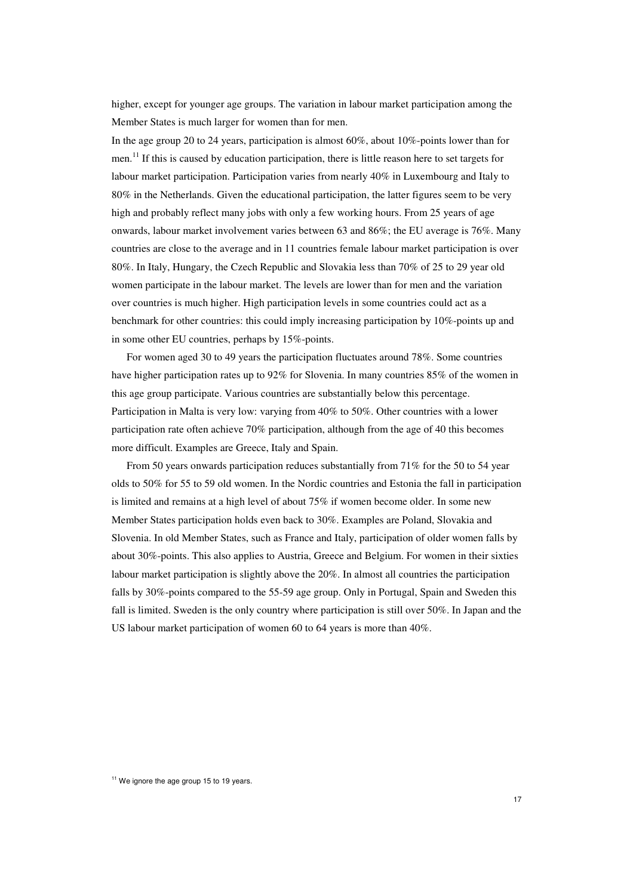higher, except for younger age groups. The variation in labour market participation among the Member States is much larger for women than for men.

In the age group 20 to 24 years, participation is almost 60%, about 10%-points lower than for men.<sup>11</sup> If this is caused by education participation, there is little reason here to set targets for labour market participation. Participation varies from nearly 40% in Luxembourg and Italy to 80% in the Netherlands. Given the educational participation, the latter figures seem to be very high and probably reflect many jobs with only a few working hours. From 25 years of age onwards, labour market involvement varies between 63 and 86%; the EU average is 76%. Many countries are close to the average and in 11 countries female labour market participation is over 80%. In Italy, Hungary, the Czech Republic and Slovakia less than 70% of 25 to 29 year old women participate in the labour market. The levels are lower than for men and the variation over countries is much higher. High participation levels in some countries could act as a benchmark for other countries: this could imply increasing participation by 10%-points up and in some other EU countries, perhaps by 15%-points.

For women aged 30 to 49 years the participation fluctuates around 78%. Some countries have higher participation rates up to 92% for Slovenia. In many countries 85% of the women in this age group participate. Various countries are substantially below this percentage. Participation in Malta is very low: varying from 40% to 50%. Other countries with a lower participation rate often achieve 70% participation, although from the age of 40 this becomes more difficult. Examples are Greece, Italy and Spain.

From 50 years onwards participation reduces substantially from 71% for the 50 to 54 year olds to 50% for 55 to 59 old women. In the Nordic countries and Estonia the fall in participation is limited and remains at a high level of about 75% if women become older. In some new Member States participation holds even back to 30%. Examples are Poland, Slovakia and Slovenia. In old Member States, such as France and Italy, participation of older women falls by about 30%-points. This also applies to Austria, Greece and Belgium. For women in their sixties labour market participation is slightly above the 20%. In almost all countries the participation falls by 30%-points compared to the 55-59 age group. Only in Portugal, Spain and Sweden this fall is limited. Sweden is the only country where participation is still over 50%. In Japan and the US labour market participation of women 60 to 64 years is more than 40%.

<sup>&</sup>lt;sup>11</sup> We ignore the age group 15 to 19 years.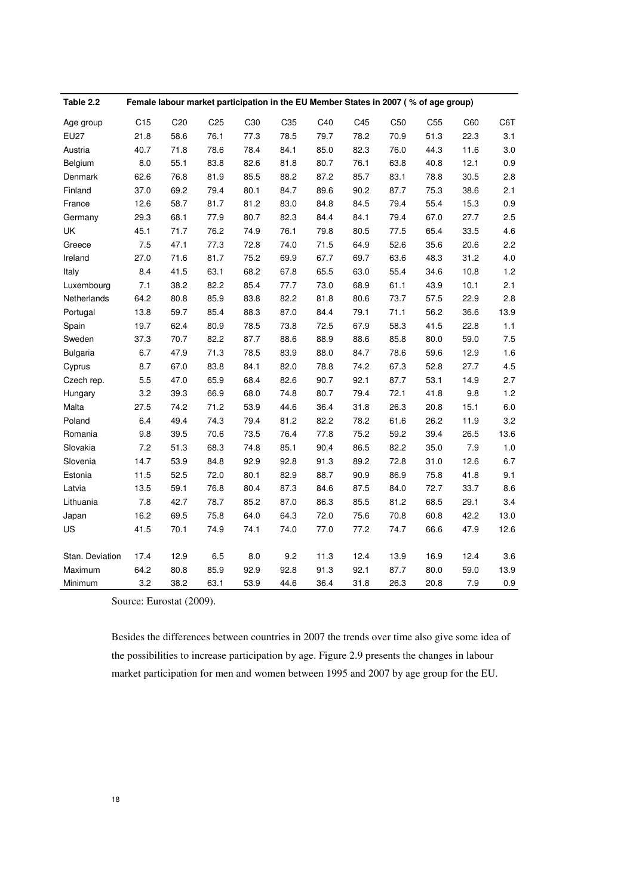| Table 2.2       |                 | Female labour market participation in the EU Member States in 2007 (% of age group) |                 |      |      |      |      |                 |                 |       |         |
|-----------------|-----------------|-------------------------------------------------------------------------------------|-----------------|------|------|------|------|-----------------|-----------------|-------|---------|
| Age group       | C <sub>15</sub> | C <sub>20</sub>                                                                     | C <sub>25</sub> | C30  | C35  | C40  | C45  | C <sub>50</sub> | C <sub>55</sub> | C60   | C6T     |
| <b>EU27</b>     | 21.8            | 58.6                                                                                | 76.1            | 77.3 | 78.5 | 79.7 | 78.2 | 70.9            | 51.3            | 22.3  | 3.1     |
| Austria         | 40.7            | 71.8                                                                                | 78.6            | 78.4 | 84.1 | 85.0 | 82.3 | 76.0            | 44.3            | 11.6  | 3.0     |
| Belgium         | 8.0             | 55.1                                                                                | 83.8            | 82.6 | 81.8 | 80.7 | 76.1 | 63.8            | 40.8            | 12.1  | 0.9     |
| Denmark         | 62.6            | 76.8                                                                                | 81.9            | 85.5 | 88.2 | 87.2 | 85.7 | 83.1            | 78.8            | 30.5  | 2.8     |
| Finland         | 37.0            | 69.2                                                                                | 79.4            | 80.1 | 84.7 | 89.6 | 90.2 | 87.7            | 75.3            | 38.6  | 2.1     |
| France          | 12.6            | 58.7                                                                                | 81.7            | 81.2 | 83.0 | 84.8 | 84.5 | 79.4            | 55.4            | 15.3  | 0.9     |
| Germany         | 29.3            | 68.1                                                                                | 77.9            | 80.7 | 82.3 | 84.4 | 84.1 | 79.4            | 67.0            | 27.7  | 2.5     |
| UK              | 45.1            | 71.7                                                                                | 76.2            | 74.9 | 76.1 | 79.8 | 80.5 | 77.5            | 65.4            | 33.5  | 4.6     |
| Greece          | 7.5             | 47.1                                                                                | 77.3            | 72.8 | 74.0 | 71.5 | 64.9 | 52.6            | 35.6            | 20.6  | 2.2     |
| Ireland         | 27.0            | 71.6                                                                                | 81.7            | 75.2 | 69.9 | 67.7 | 69.7 | 63.6            | 48.3            | 31.2  | 4.0     |
| Italy           | 8.4             | 41.5                                                                                | 63.1            | 68.2 | 67.8 | 65.5 | 63.0 | 55.4            | 34.6            | 10.8  | 1.2     |
| Luxembourg      | 7.1             | 38.2                                                                                | 82.2            | 85.4 | 77.7 | 73.0 | 68.9 | 61.1            | 43.9            | 10.1  | 2.1     |
| Netherlands     | 64.2            | 80.8                                                                                | 85.9            | 83.8 | 82.2 | 81.8 | 80.6 | 73.7            | 57.5            | 22.9  | 2.8     |
| Portugal        | 13.8            | 59.7                                                                                | 85.4            | 88.3 | 87.0 | 84.4 | 79.1 | 71.1            | 56.2            | 36.6  | 13.9    |
| Spain           | 19.7            | 62.4                                                                                | 80.9            | 78.5 | 73.8 | 72.5 | 67.9 | 58.3            | 41.5            | 22.8  | 1.1     |
| Sweden          | 37.3            | 70.7                                                                                | 82.2            | 87.7 | 88.6 | 88.9 | 88.6 | 85.8            | 80.0            | 59.0  | 7.5     |
| <b>Bulgaria</b> | 6.7             | 47.9                                                                                | 71.3            | 78.5 | 83.9 | 88.0 | 84.7 | 78.6            | 59.6            | 12.9  | 1.6     |
| Cyprus          | 8.7             | 67.0                                                                                | 83.8            | 84.1 | 82.0 | 78.8 | 74.2 | 67.3            | 52.8            | 27.7  | 4.5     |
| Czech rep.      | 5.5             | 47.0                                                                                | 65.9            | 68.4 | 82.6 | 90.7 | 92.1 | 87.7            | 53.1            | 14.9  | 2.7     |
| Hungary         | 3.2             | 39.3                                                                                | 66.9            | 68.0 | 74.8 | 80.7 | 79.4 | 72.1            | 41.8            | 9.8   | $1.2$   |
| Malta           | 27.5            | 74.2                                                                                | 71.2            | 53.9 | 44.6 | 36.4 | 31.8 | 26.3            | 20.8            | 15.1  | $6.0\,$ |
| Poland          | 6.4             | 49.4                                                                                | 74.3            | 79.4 | 81.2 | 82.2 | 78.2 | 61.6            | 26.2            | 11.9  | 3.2     |
| Romania         | 9.8             | 39.5                                                                                | 70.6            | 73.5 | 76.4 | 77.8 | 75.2 | 59.2            | 39.4            | 26.5  | 13.6    |
| Slovakia        | 7.2             | 51.3                                                                                | 68.3            | 74.8 | 85.1 | 90.4 | 86.5 | 82.2            | 35.0            | $7.9$ | 1.0     |
| Slovenia        | 14.7            | 53.9                                                                                | 84.8            | 92.9 | 92.8 | 91.3 | 89.2 | 72.8            | 31.0            | 12.6  | 6.7     |
| Estonia         | 11.5            | 52.5                                                                                | 72.0            | 80.1 | 82.9 | 88.7 | 90.9 | 86.9            | 75.8            | 41.8  | 9.1     |
| Latvia          | 13.5            | 59.1                                                                                | 76.8            | 80.4 | 87.3 | 84.6 | 87.5 | 84.0            | 72.7            | 33.7  | 8.6     |
| Lithuania       | 7.8             | 42.7                                                                                | 78.7            | 85.2 | 87.0 | 86.3 | 85.5 | 81.2            | 68.5            | 29.1  | 3.4     |
| Japan           | 16.2            | 69.5                                                                                | 75.8            | 64.0 | 64.3 | 72.0 | 75.6 | 70.8            | 60.8            | 42.2  | 13.0    |
| US              | 41.5            | 70.1                                                                                | 74.9            | 74.1 | 74.0 | 77.0 | 77.2 | 74.7            | 66.6            | 47.9  | 12.6    |
|                 |                 |                                                                                     |                 |      |      |      |      |                 |                 |       |         |
| Stan. Deviation | 17.4            | 12.9                                                                                | 6.5             | 8.0  | 9.2  | 11.3 | 12.4 | 13.9            | 16.9            | 12.4  | 3.6     |
| Maximum         | 64.2            | 80.8                                                                                | 85.9            | 92.9 | 92.8 | 91.3 | 92.1 | 87.7            | 80.0            | 59.0  | 13.9    |
| Minimum         | 3.2             | 38.2                                                                                | 63.1            | 53.9 | 44.6 | 36.4 | 31.8 | 26.3            | 20.8            | 7.9   | 0.9     |

Source: Eurostat (2009).

Besides the differences between countries in 2007 the trends over time also give some idea of the possibilities to increase participation by age. Figure 2.9 presents the changes in labour market participation for men and women between 1995 and 2007 by age group for the EU.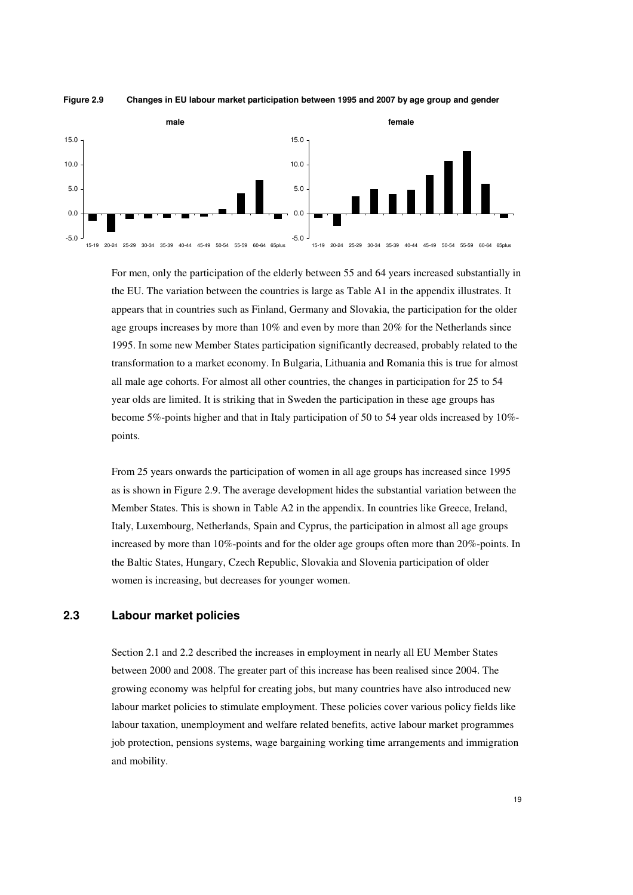

#### **Figure 2.9 Changes in EU labour market participation between 1995 and 2007 by age group and gender**

For men, only the participation of the elderly between 55 and 64 years increased substantially in the EU. The variation between the countries is large as Table A1 in the appendix illustrates. It appears that in countries such as Finland, Germany and Slovakia, the participation for the older age groups increases by more than 10% and even by more than 20% for the Netherlands since 1995. In some new Member States participation significantly decreased, probably related to the transformation to a market economy. In Bulgaria, Lithuania and Romania this is true for almost all male age cohorts. For almost all other countries, the changes in participation for 25 to 54 year olds are limited. It is striking that in Sweden the participation in these age groups has become 5%-points higher and that in Italy participation of 50 to 54 year olds increased by 10% points.

From 25 years onwards the participation of women in all age groups has increased since 1995 as is shown in Figure 2.9. The average development hides the substantial variation between the Member States. This is shown in Table A2 in the appendix. In countries like Greece, Ireland, Italy, Luxembourg, Netherlands, Spain and Cyprus, the participation in almost all age groups increased by more than 10%-points and for the older age groups often more than 20%-points. In the Baltic States, Hungary, Czech Republic, Slovakia and Slovenia participation of older women is increasing, but decreases for younger women.

## **2.3 Labour market policies**

Section 2.1 and 2.2 described the increases in employment in nearly all EU Member States between 2000 and 2008. The greater part of this increase has been realised since 2004. The growing economy was helpful for creating jobs, but many countries have also introduced new labour market policies to stimulate employment. These policies cover various policy fields like labour taxation, unemployment and welfare related benefits, active labour market programmes job protection, pensions systems, wage bargaining working time arrangements and immigration and mobility.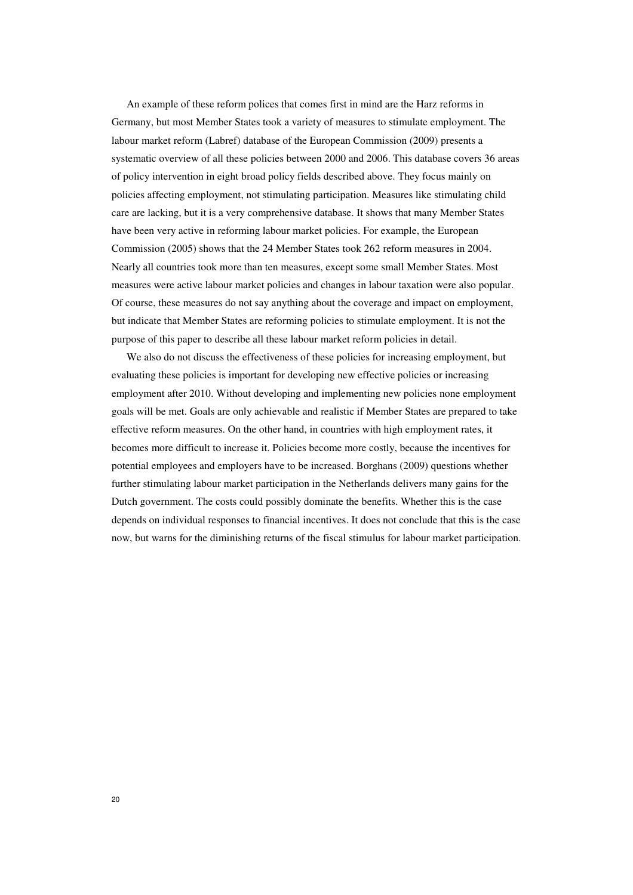An example of these reform polices that comes first in mind are the Harz reforms in Germany, but most Member States took a variety of measures to stimulate employment. The labour market reform (Labref) database of the European Commission (2009) presents a systematic overview of all these policies between 2000 and 2006. This database covers 36 areas of policy intervention in eight broad policy fields described above. They focus mainly on policies affecting employment, not stimulating participation. Measures like stimulating child care are lacking, but it is a very comprehensive database. It shows that many Member States have been very active in reforming labour market policies. For example, the European Commission (2005) shows that the 24 Member States took 262 reform measures in 2004. Nearly all countries took more than ten measures, except some small Member States. Most measures were active labour market policies and changes in labour taxation were also popular. Of course, these measures do not say anything about the coverage and impact on employment, but indicate that Member States are reforming policies to stimulate employment. It is not the purpose of this paper to describe all these labour market reform policies in detail.

We also do not discuss the effectiveness of these policies for increasing employment, but evaluating these policies is important for developing new effective policies or increasing employment after 2010. Without developing and implementing new policies none employment goals will be met. Goals are only achievable and realistic if Member States are prepared to take effective reform measures. On the other hand, in countries with high employment rates, it becomes more difficult to increase it. Policies become more costly, because the incentives for potential employees and employers have to be increased. Borghans (2009) questions whether further stimulating labour market participation in the Netherlands delivers many gains for the Dutch government. The costs could possibly dominate the benefits. Whether this is the case depends on individual responses to financial incentives. It does not conclude that this is the case now, but warns for the diminishing returns of the fiscal stimulus for labour market participation.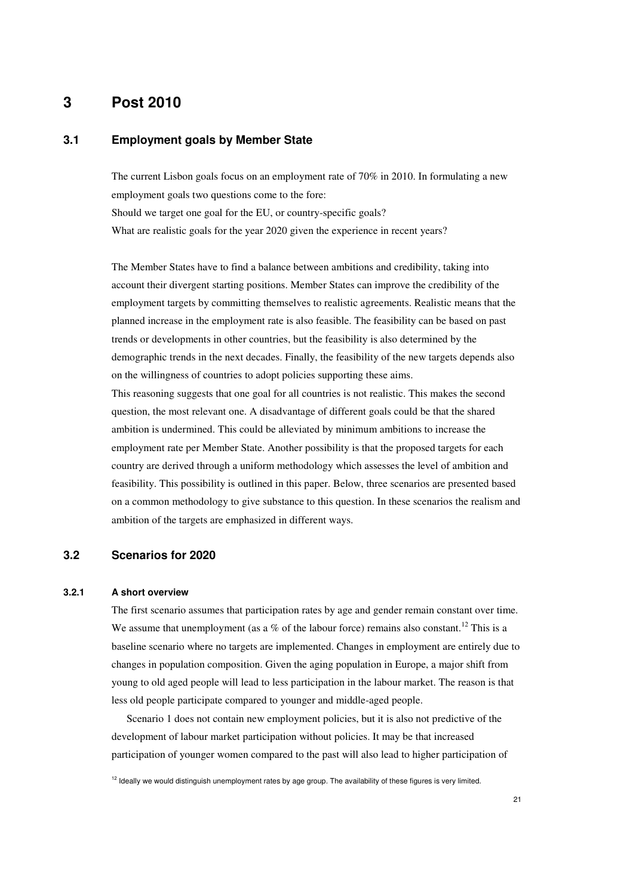## **3 Post 2010**

### **3.1 Employment goals by Member State**

The current Lisbon goals focus on an employment rate of 70% in 2010. In formulating a new employment goals two questions come to the fore: Should we target one goal for the EU, or country-specific goals? What are realistic goals for the year 2020 given the experience in recent years?

The Member States have to find a balance between ambitions and credibility, taking into account their divergent starting positions. Member States can improve the credibility of the employment targets by committing themselves to realistic agreements. Realistic means that the planned increase in the employment rate is also feasible. The feasibility can be based on past trends or developments in other countries, but the feasibility is also determined by the demographic trends in the next decades. Finally, the feasibility of the new targets depends also on the willingness of countries to adopt policies supporting these aims.

This reasoning suggests that one goal for all countries is not realistic. This makes the second question, the most relevant one. A disadvantage of different goals could be that the shared ambition is undermined. This could be alleviated by minimum ambitions to increase the employment rate per Member State. Another possibility is that the proposed targets for each country are derived through a uniform methodology which assesses the level of ambition and feasibility. This possibility is outlined in this paper. Below, three scenarios are presented based on a common methodology to give substance to this question. In these scenarios the realism and ambition of the targets are emphasized in different ways.

## **3.2 Scenarios for 2020**

#### **3.2.1 A short overview**

The first scenario assumes that participation rates by age and gender remain constant over time. We assume that unemployment (as a  $%$  of the labour force) remains also constant.<sup>12</sup> This is a baseline scenario where no targets are implemented. Changes in employment are entirely due to changes in population composition. Given the aging population in Europe, a major shift from young to old aged people will lead to less participation in the labour market. The reason is that less old people participate compared to younger and middle-aged people.

Scenario 1 does not contain new employment policies, but it is also not predictive of the development of labour market participation without policies. It may be that increased participation of younger women compared to the past will also lead to higher participation of

<sup>12</sup> Ideally we would distinguish unemployment rates by age group. The availability of these figures is very limited.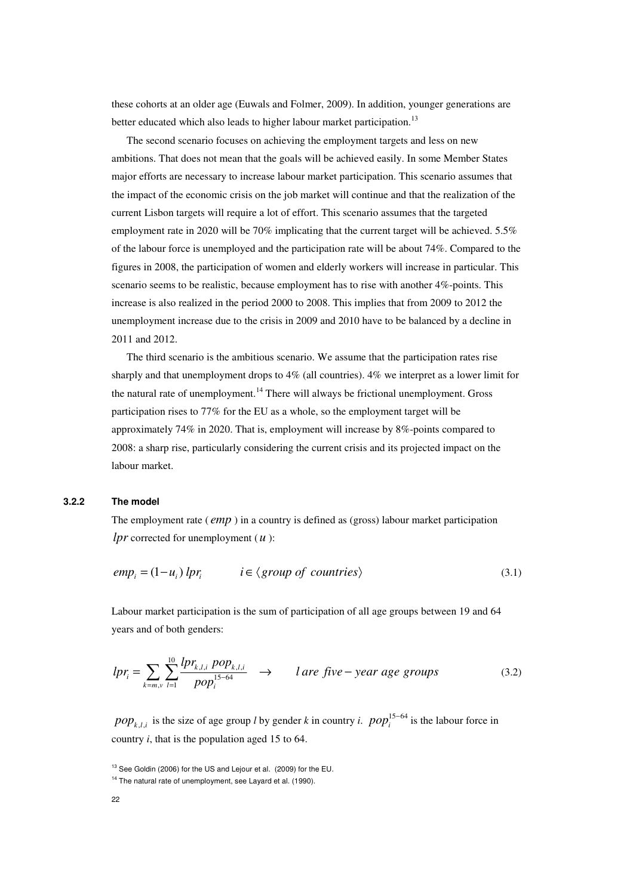these cohorts at an older age (Euwals and Folmer, 2009). In addition, younger generations are better educated which also leads to higher labour market participation.<sup>13</sup>

The second scenario focuses on achieving the employment targets and less on new ambitions. That does not mean that the goals will be achieved easily. In some Member States major efforts are necessary to increase labour market participation. This scenario assumes that the impact of the economic crisis on the job market will continue and that the realization of the current Lisbon targets will require a lot of effort. This scenario assumes that the targeted employment rate in 2020 will be 70% implicating that the current target will be achieved. 5.5% of the labour force is unemployed and the participation rate will be about 74%. Compared to the figures in 2008, the participation of women and elderly workers will increase in particular. This scenario seems to be realistic, because employment has to rise with another 4%-points. This increase is also realized in the period 2000 to 2008. This implies that from 2009 to 2012 the unemployment increase due to the crisis in 2009 and 2010 have to be balanced by a decline in 2011 and 2012.

The third scenario is the ambitious scenario. We assume that the participation rates rise sharply and that unemployment drops to 4% (all countries). 4% we interpret as a lower limit for the natural rate of unemployment.<sup>14</sup> There will always be frictional unemployment. Gross participation rises to 77% for the EU as a whole, so the employment target will be approximately 74% in 2020. That is, employment will increase by 8%-points compared to 2008: a sharp rise, particularly considering the current crisis and its projected impact on the labour market.

#### **3.2.2 The model**

The employment rate ( *emp* ) in a country is defined as (gross) labour market participation *lpr* corrected for unemployment (*u* ):

$$
empi = (1 - ui) lpri \t i \in \langle group \ of \ countries \rangle \t(3.1)
$$

Labour market participation is the sum of participation of all age groups between 19 and 64 years and of both genders:

$$
lpr_i = \sum_{k=m,v} \sum_{l=1}^{10} \frac{lpr_{k,l,i} \; pop_{k,l,i}}{pop_i^{15-64}} \quad \rightarrow \qquad l \; are \; five-year \; age \; groups \tag{3.2}
$$

*pop*<sub>k,*l*,*i*</sub> is the size of age group *l* by gender *k* in country *i*.  $pop_i^{15-64}$  $pop_i^{15-64}$  is the labour force in country *i*, that is the population aged 15 to 64.

<sup>&</sup>lt;sup>13</sup> See Goldin (2006) for the US and Lejour et al. (2009) for the EU.

<sup>&</sup>lt;sup>14</sup> The natural rate of unemployment, see Layard et al. (1990).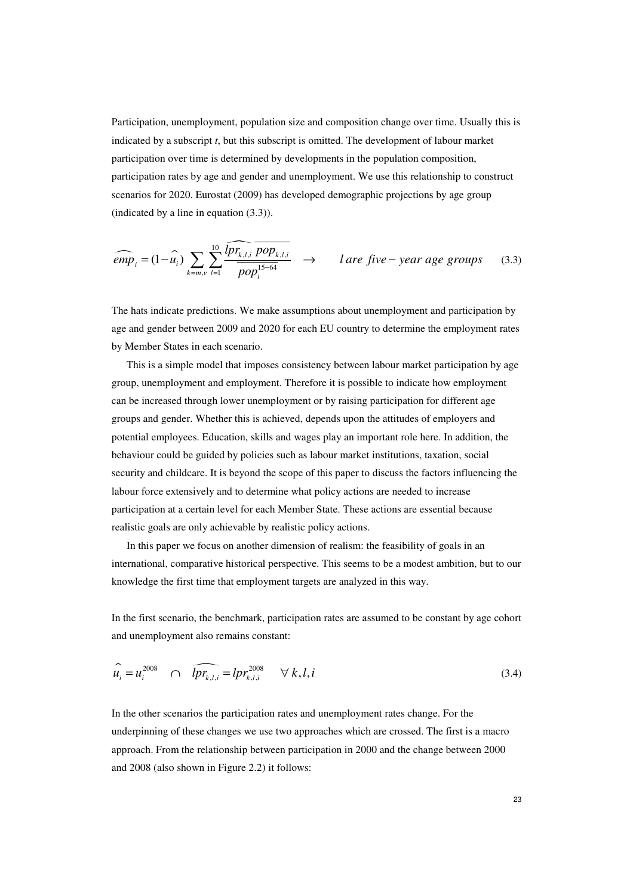Participation, unemployment, population size and composition change over time. Usually this is indicated by a subscript *t*, but this subscript is omitted. The development of labour market participation over time is determined by developments in the population composition, participation rates by age and gender and unemployment. We use this relationship to construct scenarios for 2020. Eurostat (2009) has developed demographic projections by age group (indicated by a line in equation (3.3)).

$$
\widehat{emp}_i = (1 - \widehat{u}_i) \sum_{k=m, v} \sum_{l=1}^{10} \frac{\widehat{lpr_{k,l,i} \ pop_{k,l,i}}}{pop_i^{15-64}} \longrightarrow l \ \text{are five-year age groups} \tag{3.3}
$$

The hats indicate predictions. We make assumptions about unemployment and participation by age and gender between 2009 and 2020 for each EU country to determine the employment rates by Member States in each scenario.

This is a simple model that imposes consistency between labour market participation by age group, unemployment and employment. Therefore it is possible to indicate how employment can be increased through lower unemployment or by raising participation for different age groups and gender. Whether this is achieved, depends upon the attitudes of employers and potential employees. Education, skills and wages play an important role here. In addition, the behaviour could be guided by policies such as labour market institutions, taxation, social security and childcare. It is beyond the scope of this paper to discuss the factors influencing the labour force extensively and to determine what policy actions are needed to increase participation at a certain level for each Member State. These actions are essential because realistic goals are only achievable by realistic policy actions.

In this paper we focus on another dimension of realism: the feasibility of goals in an international, comparative historical perspective. This seems to be a modest ambition, but to our knowledge the first time that employment targets are analyzed in this way.

In the first scenario, the benchmark, participation rates are assumed to be constant by age cohort and unemployment also remains constant:

$$
\widehat{u_i} = u_i^{2008} \quad \cap \quad \widehat{lpr_{k,l,i}} = lpr_{k,l,i}^{2008} \quad \forall \ k, l, i
$$
\n(3.4)

In the other scenarios the participation rates and unemployment rates change. For the underpinning of these changes we use two approaches which are crossed. The first is a macro approach. From the relationship between participation in 2000 and the change between 2000 and 2008 (also shown in Figure 2.2) it follows: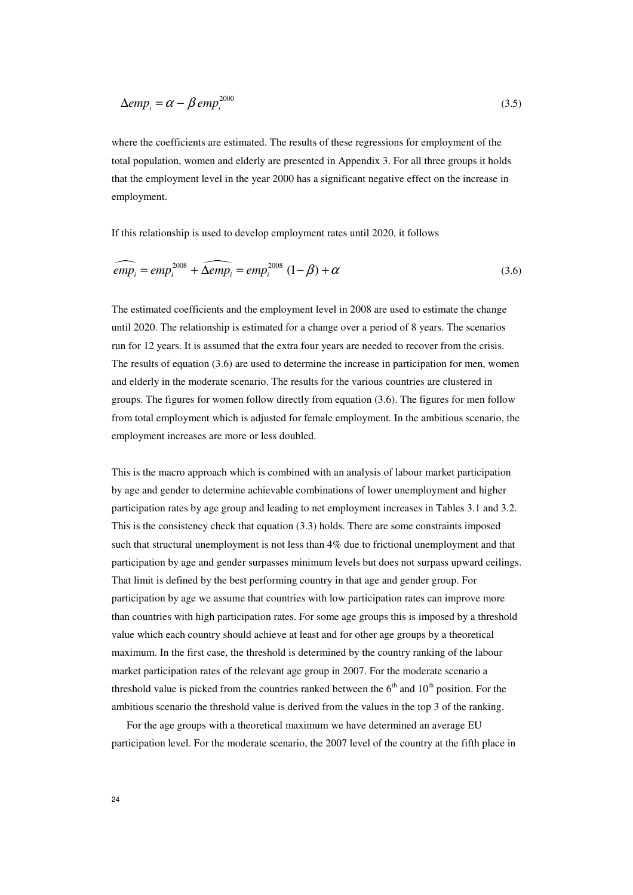$$
\Delta emp_i = \alpha - \beta \, emp_i^{2000} \tag{3.5}
$$

where the coefficients are estimated. The results of these regressions for employment of the total population, women and elderly are presented in Appendix 3. For all three groups it holds that the employment level in the year 2000 has a significant negative effect on the increase in employment.

If this relationship is used to develop employment rates until 2020, it follows

$$
\widehat{emp_i} = emp_i^{2008} + \widehat{\Delta emp_i} = emp_i^{2008} (1 - \beta) + \alpha
$$
\n(3.6)

The estimated coefficients and the employment level in 2008 are used to estimate the change until 2020. The relationship is estimated for a change over a period of 8 years. The scenarios run for 12 years. It is assumed that the extra four years are needed to recover from the crisis. The results of equation (3.6) are used to determine the increase in participation for men, women and elderly in the moderate scenario. The results for the various countries are clustered in groups. The figures for women follow directly from equation (3.6). The figures for men follow from total employment which is adjusted for female employment. In the ambitious scenario, the employment increases are more or less doubled.

This is the macro approach which is combined with an analysis of labour market participation by age and gender to determine achievable combinations of lower unemployment and higher participation rates by age group and leading to net employment increases in Tables 3.1 and 3.2. This is the consistency check that equation (3.3) holds. There are some constraints imposed such that structural unemployment is not less than 4% due to frictional unemployment and that participation by age and gender surpasses minimum levels but does not surpass upward ceilings. That limit is defined by the best performing country in that age and gender group. For participation by age we assume that countries with low participation rates can improve more than countries with high participation rates. For some age groups this is imposed by a threshold value which each country should achieve at least and for other age groups by a theoretical maximum. In the first case, the threshold is determined by the country ranking of the labour market participation rates of the relevant age group in 2007. For the moderate scenario a threshold value is picked from the countries ranked between the  $6<sup>th</sup>$  and  $10<sup>th</sup>$  position. For the ambitious scenario the threshold value is derived from the values in the top 3 of the ranking.

For the age groups with a theoretical maximum we have determined an average EU participation level. For the moderate scenario, the 2007 level of the country at the fifth place in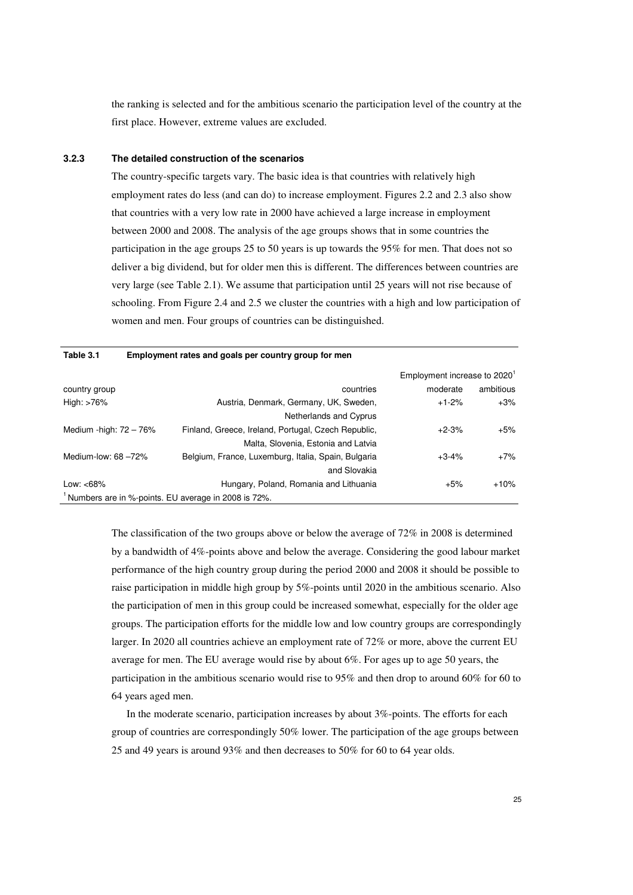the ranking is selected and for the ambitious scenario the participation level of the country at the first place. However, extreme values are excluded.

#### **3.2.3 The detailed construction of the scenarios**

The country-specific targets vary. The basic idea is that countries with relatively high employment rates do less (and can do) to increase employment. Figures 2.2 and 2.3 also show that countries with a very low rate in 2000 have achieved a large increase in employment between 2000 and 2008. The analysis of the age groups shows that in some countries the participation in the age groups 25 to 50 years is up towards the 95% for men. That does not so deliver a big dividend, but for older men this is different. The differences between countries are very large (see Table 2.1). We assume that participation until 25 years will not rise because of schooling. From Figure 2.4 and 2.5 we cluster the countries with a high and low participation of women and men. Four groups of countries can be distinguished.

| Table 3.1                | Employment rates and goals per country group for men |                                          |           |
|--------------------------|------------------------------------------------------|------------------------------------------|-----------|
|                          |                                                      | Employment increase to 2020 <sup>1</sup> |           |
| country group            | countries                                            | moderate                                 | ambitious |
| High: >76%               | Austria, Denmark, Germany, UK, Sweden,               | $+1-2%$                                  | $+3%$     |
|                          | Netherlands and Cyprus                               |                                          |           |
| Medium -high: $72 - 76%$ | Finland, Greece, Ireland, Portugal, Czech Republic,  | $+2-3%$                                  | $+5%$     |
|                          | Malta, Slovenia, Estonia and Latvia                  |                                          |           |
| Medium-low: $68 - 72\%$  | Belgium, France, Luxemburg, Italia, Spain, Bulgaria  | $+3-4%$                                  | $+7%$     |
|                          | and Slovakia                                         |                                          |           |
| Low: $<68\%$             | Hungary, Poland, Romania and Lithuania               | $+5%$                                    | $+10%$    |
|                          | Numbers are in %-points. EU average in 2008 is 72%.  |                                          |           |

The classification of the two groups above or below the average of 72% in 2008 is determined by a bandwidth of 4%-points above and below the average. Considering the good labour market performance of the high country group during the period 2000 and 2008 it should be possible to raise participation in middle high group by 5%-points until 2020 in the ambitious scenario. Also the participation of men in this group could be increased somewhat, especially for the older age groups. The participation efforts for the middle low and low country groups are correspondingly larger. In 2020 all countries achieve an employment rate of 72% or more, above the current EU average for men. The EU average would rise by about 6%. For ages up to age 50 years, the participation in the ambitious scenario would rise to 95% and then drop to around 60% for 60 to 64 years aged men.

In the moderate scenario, participation increases by about 3%-points. The efforts for each group of countries are correspondingly 50% lower. The participation of the age groups between 25 and 49 years is around 93% and then decreases to 50% for 60 to 64 year olds.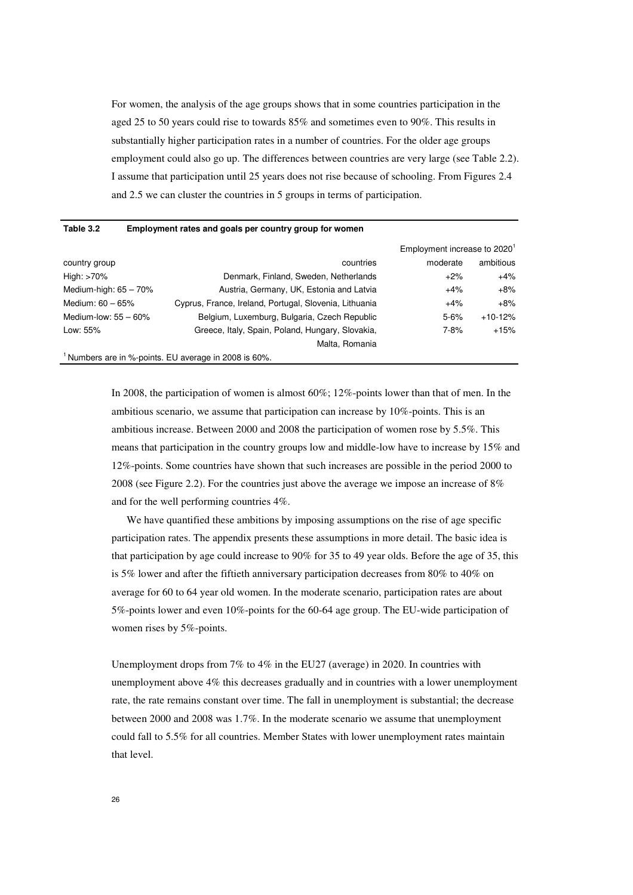For women, the analysis of the age groups shows that in some countries participation in the aged 25 to 50 years could rise to towards 85% and sometimes even to 90%. This results in substantially higher participation rates in a number of countries. For the older age groups employment could also go up. The differences between countries are very large (see Table 2.2). I assume that participation until 25 years does not rise because of schooling. From Figures 2.4 and 2.5 we can cluster the countries in 5 groups in terms of participation.

#### **Table 3.2 Employment rates and goals per country group for women**

|                          |                                                                  | Employment increase to 2020 <sup>1</sup> |           |
|--------------------------|------------------------------------------------------------------|------------------------------------------|-----------|
| country group            | countries                                                        | moderate                                 | ambitious |
| High: >70%               | Denmark, Finland, Sweden, Netherlands                            | $+2%$                                    | $+4%$     |
| Medium-high: $65 - 70\%$ | Austria, Germany, UK, Estonia and Latvia                         | $+4%$                                    | $+8%$     |
| Medium: $60 - 65%$       | Cyprus, France, Ireland, Portugal, Slovenia, Lithuania           | $+4%$                                    | $+8%$     |
| Medium-low: $55 - 60\%$  | Belgium, Luxemburg, Bulgaria, Czech Republic                     | $5 - 6%$                                 | $+10-12%$ |
| Low: 55%                 | Greece, Italy, Spain, Poland, Hungary, Slovakia,                 | $7 - 8%$                                 | $+15%$    |
|                          | Malta, Romania                                                   |                                          |           |
|                          | <sup>1</sup> Numbers are in %-points. EU average in 2008 is 60%. |                                          |           |

In 2008, the participation of women is almost 60%; 12%-points lower than that of men. In the ambitious scenario, we assume that participation can increase by 10%-points. This is an ambitious increase. Between 2000 and 2008 the participation of women rose by 5.5%. This means that participation in the country groups low and middle-low have to increase by 15% and 12%-points. Some countries have shown that such increases are possible in the period 2000 to 2008 (see Figure 2.2). For the countries just above the average we impose an increase of 8% and for the well performing countries 4%.

We have quantified these ambitions by imposing assumptions on the rise of age specific participation rates. The appendix presents these assumptions in more detail. The basic idea is that participation by age could increase to 90% for 35 to 49 year olds. Before the age of 35, this is 5% lower and after the fiftieth anniversary participation decreases from 80% to 40% on average for 60 to 64 year old women. In the moderate scenario, participation rates are about 5%-points lower and even 10%-points for the 60-64 age group. The EU-wide participation of women rises by 5%-points.

Unemployment drops from 7% to 4% in the EU27 (average) in 2020. In countries with unemployment above 4% this decreases gradually and in countries with a lower unemployment rate, the rate remains constant over time. The fall in unemployment is substantial; the decrease between 2000 and 2008 was 1.7%. In the moderate scenario we assume that unemployment could fall to 5.5% for all countries. Member States with lower unemployment rates maintain that level.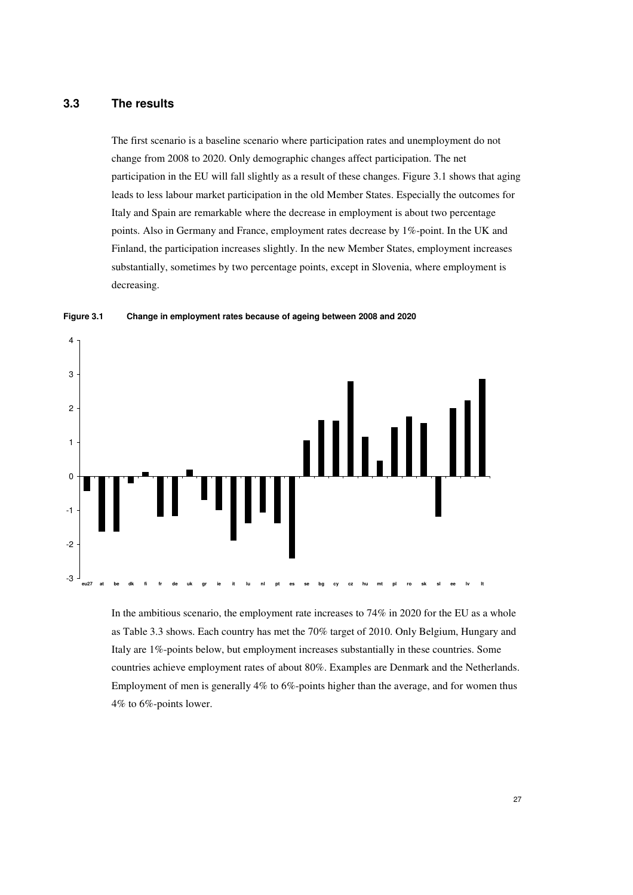## **3.3 The results**

The first scenario is a baseline scenario where participation rates and unemployment do not change from 2008 to 2020. Only demographic changes affect participation. The net participation in the EU will fall slightly as a result of these changes. Figure 3.1 shows that aging leads to less labour market participation in the old Member States. Especially the outcomes for Italy and Spain are remarkable where the decrease in employment is about two percentage points. Also in Germany and France, employment rates decrease by 1%-point. In the UK and Finland, the participation increases slightly. In the new Member States, employment increases substantially, sometimes by two percentage points, except in Slovenia, where employment is decreasing.





In the ambitious scenario, the employment rate increases to 74% in 2020 for the EU as a whole as Table 3.3 shows. Each country has met the 70% target of 2010. Only Belgium, Hungary and Italy are 1%-points below, but employment increases substantially in these countries. Some countries achieve employment rates of about 80%. Examples are Denmark and the Netherlands. Employment of men is generally 4% to 6%-points higher than the average, and for women thus 4% to 6%-points lower.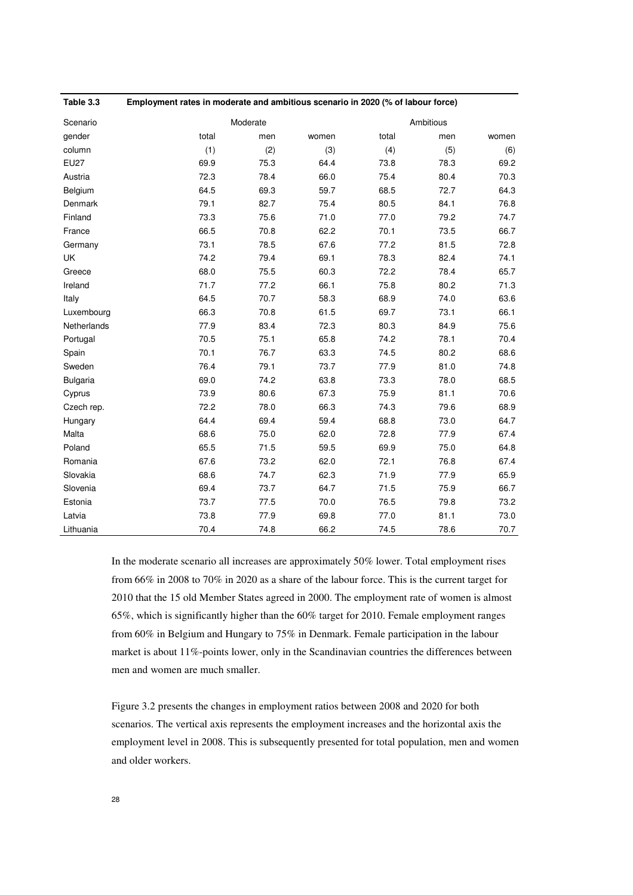| Table 3.3   |       | Employment rates in moderate and ambitious scenario in 2020 (% of labour force) |       |       |           |       |  |  |  |  |  |
|-------------|-------|---------------------------------------------------------------------------------|-------|-------|-----------|-------|--|--|--|--|--|
| Scenario    |       | Moderate                                                                        |       |       | Ambitious |       |  |  |  |  |  |
| gender      | total | men                                                                             | women | total | men       | women |  |  |  |  |  |
| column      | (1)   | (2)                                                                             | (3)   | (4)   | (5)       | (6)   |  |  |  |  |  |
| <b>EU27</b> | 69.9  | 75.3                                                                            | 64.4  | 73.8  | 78.3      | 69.2  |  |  |  |  |  |
| Austria     | 72.3  | 78.4                                                                            | 66.0  | 75.4  | 80.4      | 70.3  |  |  |  |  |  |
| Belgium     | 64.5  | 69.3                                                                            | 59.7  | 68.5  | 72.7      | 64.3  |  |  |  |  |  |
| Denmark     | 79.1  | 82.7                                                                            | 75.4  | 80.5  | 84.1      | 76.8  |  |  |  |  |  |
| Finland     | 73.3  | 75.6                                                                            | 71.0  | 77.0  | 79.2      | 74.7  |  |  |  |  |  |
| France      | 66.5  | 70.8                                                                            | 62.2  | 70.1  | 73.5      | 66.7  |  |  |  |  |  |
| Germany     | 73.1  | 78.5                                                                            | 67.6  | 77.2  | 81.5      | 72.8  |  |  |  |  |  |
| <b>UK</b>   | 74.2  | 79.4                                                                            | 69.1  | 78.3  | 82.4      | 74.1  |  |  |  |  |  |
| Greece      | 68.0  | 75.5                                                                            | 60.3  | 72.2  | 78.4      | 65.7  |  |  |  |  |  |
| Ireland     | 71.7  | 77.2                                                                            | 66.1  | 75.8  | 80.2      | 71.3  |  |  |  |  |  |
| Italy       | 64.5  | 70.7                                                                            | 58.3  | 68.9  | 74.0      | 63.6  |  |  |  |  |  |
| Luxembourg  | 66.3  | 70.8                                                                            | 61.5  | 69.7  | 73.1      | 66.1  |  |  |  |  |  |
| Netherlands | 77.9  | 83.4                                                                            | 72.3  | 80.3  | 84.9      | 75.6  |  |  |  |  |  |
| Portugal    | 70.5  | 75.1                                                                            | 65.8  | 74.2  | 78.1      | 70.4  |  |  |  |  |  |
| Spain       | 70.1  | 76.7                                                                            | 63.3  | 74.5  | 80.2      | 68.6  |  |  |  |  |  |
| Sweden      | 76.4  | 79.1                                                                            | 73.7  | 77.9  | 81.0      | 74.8  |  |  |  |  |  |
| Bulgaria    | 69.0  | 74.2                                                                            | 63.8  | 73.3  | 78.0      | 68.5  |  |  |  |  |  |
| Cyprus      | 73.9  | 80.6                                                                            | 67.3  | 75.9  | 81.1      | 70.6  |  |  |  |  |  |
| Czech rep.  | 72.2  | 78.0                                                                            | 66.3  | 74.3  | 79.6      | 68.9  |  |  |  |  |  |
| Hungary     | 64.4  | 69.4                                                                            | 59.4  | 68.8  | 73.0      | 64.7  |  |  |  |  |  |
| Malta       | 68.6  | 75.0                                                                            | 62.0  | 72.8  | 77.9      | 67.4  |  |  |  |  |  |
| Poland      | 65.5  | 71.5                                                                            | 59.5  | 69.9  | 75.0      | 64.8  |  |  |  |  |  |
| Romania     | 67.6  | 73.2                                                                            | 62.0  | 72.1  | 76.8      | 67.4  |  |  |  |  |  |
| Slovakia    | 68.6  | 74.7                                                                            | 62.3  | 71.9  | 77.9      | 65.9  |  |  |  |  |  |
| Slovenia    | 69.4  | 73.7                                                                            | 64.7  | 71.5  | 75.9      | 66.7  |  |  |  |  |  |
| Estonia     | 73.7  | 77.5                                                                            | 70.0  | 76.5  | 79.8      | 73.2  |  |  |  |  |  |
| Latvia      | 73.8  | 77.9                                                                            | 69.8  | 77.0  | 81.1      | 73.0  |  |  |  |  |  |
| Lithuania   | 70.4  | 74.8                                                                            | 66.2  | 74.5  | 78.6      | 70.7  |  |  |  |  |  |

In the moderate scenario all increases are approximately 50% lower. Total employment rises from 66% in 2008 to 70% in 2020 as a share of the labour force. This is the current target for 2010 that the 15 old Member States agreed in 2000. The employment rate of women is almost 65%, which is significantly higher than the 60% target for 2010. Female employment ranges from 60% in Belgium and Hungary to 75% in Denmark. Female participation in the labour market is about 11%-points lower, only in the Scandinavian countries the differences between men and women are much smaller.

Figure 3.2 presents the changes in employment ratios between 2008 and 2020 for both scenarios. The vertical axis represents the employment increases and the horizontal axis the employment level in 2008. This is subsequently presented for total population, men and women and older workers.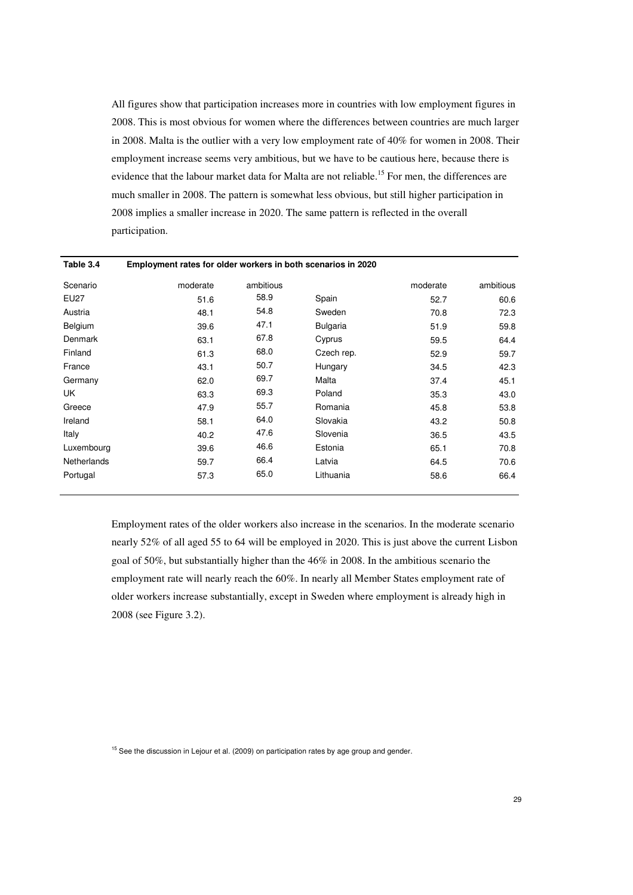All figures show that participation increases more in countries with low employment figures in 2008. This is most obvious for women where the differences between countries are much larger in 2008. Malta is the outlier with a very low employment rate of 40% for women in 2008. Their employment increase seems very ambitious, but we have to be cautious here, because there is evidence that the labour market data for Malta are not reliable.<sup>15</sup> For men, the differences are much smaller in 2008. The pattern is somewhat less obvious, but still higher participation in 2008 implies a smaller increase in 2020. The same pattern is reflected in the overall participation.

| Table 3.4   | Employment rates for older workers in both scenarios in 2020 |           |                 |          |           |  |  |  |  |  |  |
|-------------|--------------------------------------------------------------|-----------|-----------------|----------|-----------|--|--|--|--|--|--|
| Scenario    | moderate                                                     | ambitious |                 | moderate | ambitious |  |  |  |  |  |  |
| <b>EU27</b> | 51.6                                                         | 58.9      | Spain           | 52.7     | 60.6      |  |  |  |  |  |  |
| Austria     | 48.1                                                         | 54.8      | Sweden          | 70.8     | 72.3      |  |  |  |  |  |  |
| Belgium     | 39.6                                                         | 47.1      | <b>Bulgaria</b> | 51.9     | 59.8      |  |  |  |  |  |  |
| Denmark     | 63.1                                                         | 67.8      | Cyprus          | 59.5     | 64.4      |  |  |  |  |  |  |
| Finland     | 61.3                                                         | 68.0      | Czech rep.      | 52.9     | 59.7      |  |  |  |  |  |  |
| France      | 43.1                                                         | 50.7      | Hungary         | 34.5     | 42.3      |  |  |  |  |  |  |
| Germany     | 62.0                                                         | 69.7      | Malta           | 37.4     | 45.1      |  |  |  |  |  |  |
| UK          | 63.3                                                         | 69.3      | Poland          | 35.3     | 43.0      |  |  |  |  |  |  |
| Greece      | 47.9                                                         | 55.7      | Romania         | 45.8     | 53.8      |  |  |  |  |  |  |
| Ireland     | 58.1                                                         | 64.0      | Slovakia        | 43.2     | 50.8      |  |  |  |  |  |  |
| Italy       | 40.2                                                         | 47.6      | Slovenia        | 36.5     | 43.5      |  |  |  |  |  |  |
| Luxembourg  | 39.6                                                         | 46.6      | Estonia         | 65.1     | 70.8      |  |  |  |  |  |  |
| Netherlands | 59.7                                                         | 66.4      | Latvia          | 64.5     | 70.6      |  |  |  |  |  |  |
| Portugal    | 57.3                                                         | 65.0      | Lithuania       | 58.6     | 66.4      |  |  |  |  |  |  |

Employment rates of the older workers also increase in the scenarios. In the moderate scenario nearly 52% of all aged 55 to 64 will be employed in 2020. This is just above the current Lisbon goal of 50%, but substantially higher than the 46% in 2008. In the ambitious scenario the employment rate will nearly reach the 60%. In nearly all Member States employment rate of older workers increase substantially, except in Sweden where employment is already high in 2008 (see Figure 3.2).

 $15$  See the discussion in Lejour et al. (2009) on participation rates by age group and gender.

29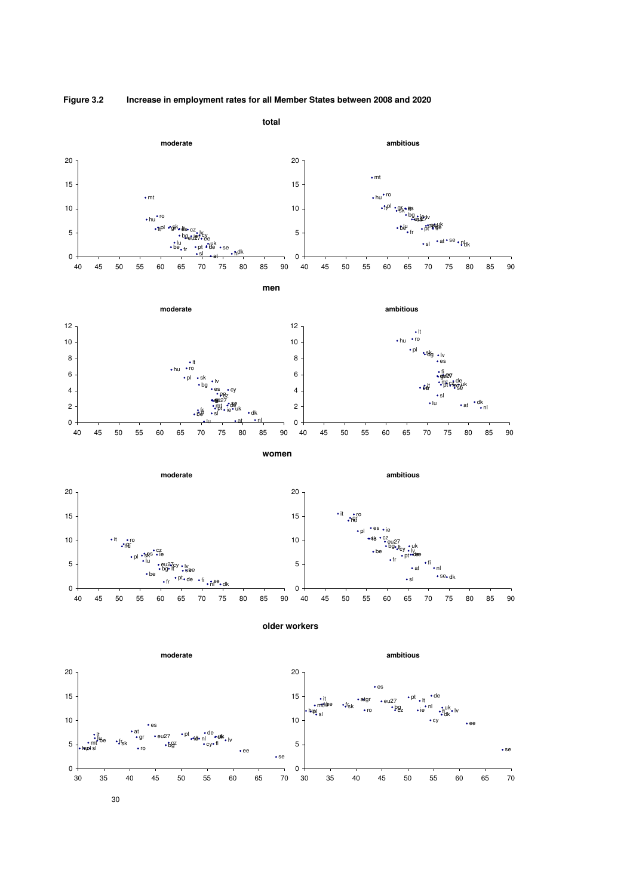

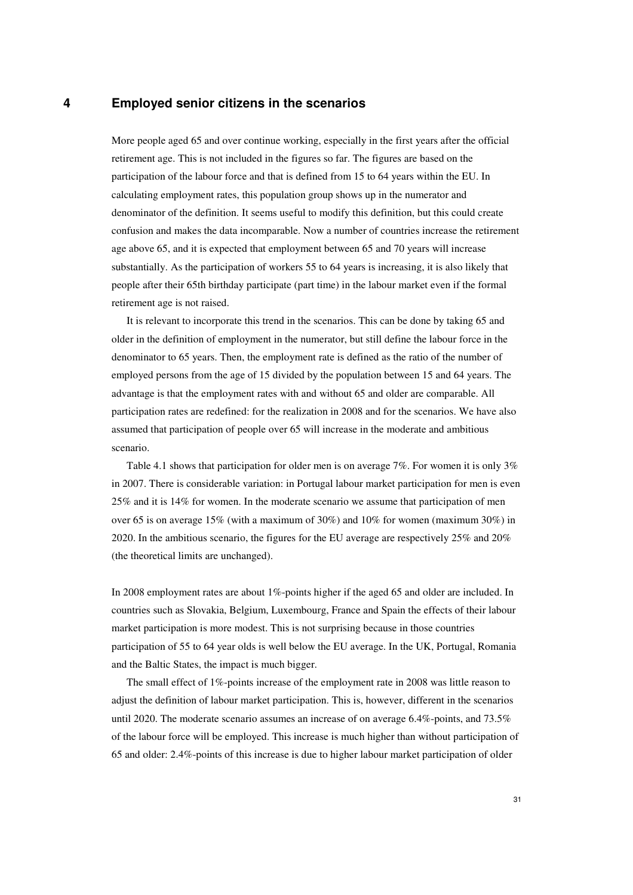## **4 Employed senior citizens in the scenarios**

More people aged 65 and over continue working, especially in the first years after the official retirement age. This is not included in the figures so far. The figures are based on the participation of the labour force and that is defined from 15 to 64 years within the EU. In calculating employment rates, this population group shows up in the numerator and denominator of the definition. It seems useful to modify this definition, but this could create confusion and makes the data incomparable. Now a number of countries increase the retirement age above 65, and it is expected that employment between 65 and 70 years will increase substantially. As the participation of workers 55 to 64 years is increasing, it is also likely that people after their 65th birthday participate (part time) in the labour market even if the formal retirement age is not raised.

It is relevant to incorporate this trend in the scenarios. This can be done by taking 65 and older in the definition of employment in the numerator, but still define the labour force in the denominator to 65 years. Then, the employment rate is defined as the ratio of the number of employed persons from the age of 15 divided by the population between 15 and 64 years. The advantage is that the employment rates with and without 65 and older are comparable. All participation rates are redefined: for the realization in 2008 and for the scenarios. We have also assumed that participation of people over 65 will increase in the moderate and ambitious scenario.

Table 4.1 shows that participation for older men is on average 7%. For women it is only 3% in 2007. There is considerable variation: in Portugal labour market participation for men is even 25% and it is 14% for women. In the moderate scenario we assume that participation of men over 65 is on average 15% (with a maximum of 30%) and 10% for women (maximum 30%) in 2020. In the ambitious scenario, the figures for the EU average are respectively 25% and 20% (the theoretical limits are unchanged).

In 2008 employment rates are about 1%-points higher if the aged 65 and older are included. In countries such as Slovakia, Belgium, Luxembourg, France and Spain the effects of their labour market participation is more modest. This is not surprising because in those countries participation of 55 to 64 year olds is well below the EU average. In the UK, Portugal, Romania and the Baltic States, the impact is much bigger.

The small effect of 1%-points increase of the employment rate in 2008 was little reason to adjust the definition of labour market participation. This is, however, different in the scenarios until 2020. The moderate scenario assumes an increase of on average 6.4%-points, and 73.5% of the labour force will be employed. This increase is much higher than without participation of 65 and older: 2.4%-points of this increase is due to higher labour market participation of older

31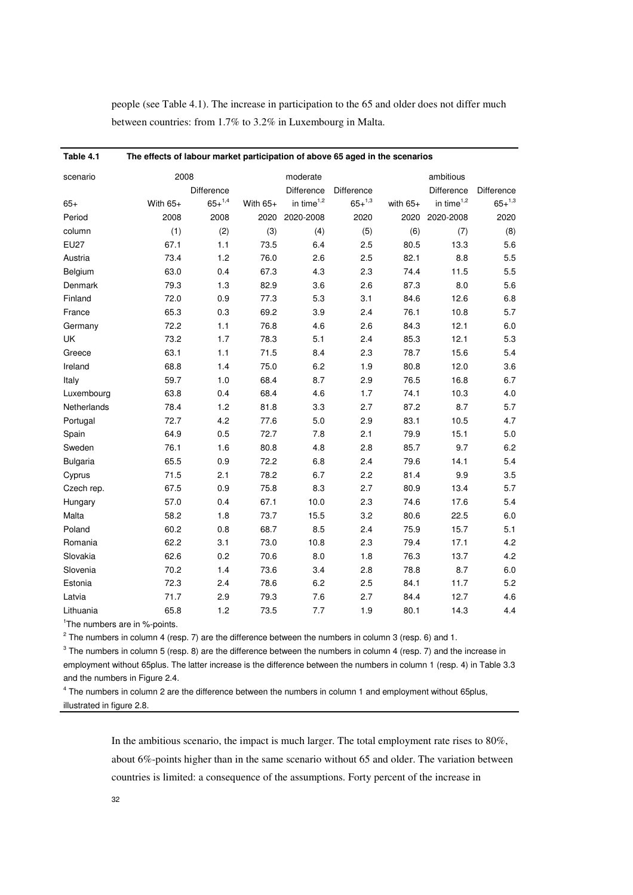people (see Table 4.1). The increase in participation to the 65 and older does not differ much between countries: from 1.7% to 3.2% in Luxembourg in Malta.

| Table 4.1   | The effects of labour market participation of above 65 aged in the scenarios |             |            |                        |                 |            |               |               |  |  |  |  |
|-------------|------------------------------------------------------------------------------|-------------|------------|------------------------|-----------------|------------|---------------|---------------|--|--|--|--|
| scenario    | 2008                                                                         |             |            | moderate               |                 |            | ambitious     |               |  |  |  |  |
|             |                                                                              | Difference  |            | Difference             | Difference      |            | Difference    | Difference    |  |  |  |  |
| $65+$       | With $65+$                                                                   | $65+^{1,4}$ | With $65+$ | in time <sup>1,2</sup> | $65 + {}^{1,3}$ | with $65+$ | in time $1,2$ | $65 + ^{1,3}$ |  |  |  |  |
| Period      | 2008                                                                         | 2008        | 2020       | 2020-2008              | 2020            | 2020       | 2020-2008     | 2020          |  |  |  |  |
| column      | (1)                                                                          | (2)         | (3)        | (4)                    | (5)             | (6)        | (7)           | (8)           |  |  |  |  |
| <b>EU27</b> | 67.1                                                                         | 1.1         | 73.5       | 6.4                    | 2.5             | 80.5       | 13.3          | 5.6           |  |  |  |  |
| Austria     | 73.4                                                                         | 1.2         | 76.0       | 2.6                    | 2.5             | 82.1       | 8.8           | 5.5           |  |  |  |  |
| Belgium     | 63.0                                                                         | 0.4         | 67.3       | 4.3                    | 2.3             | 74.4       | 11.5          | 5.5           |  |  |  |  |
| Denmark     | 79.3                                                                         | 1.3         | 82.9       | 3.6                    | 2.6             | 87.3       | 8.0           | 5.6           |  |  |  |  |
| Finland     | 72.0                                                                         | 0.9         | 77.3       | 5.3                    | 3.1             | 84.6       | 12.6          | 6.8           |  |  |  |  |
| France      | 65.3                                                                         | 0.3         | 69.2       | 3.9                    | 2.4             | 76.1       | 10.8          | 5.7           |  |  |  |  |
| Germany     | 72.2                                                                         | 1.1         | 76.8       | 4.6                    | 2.6             | 84.3       | 12.1          | $6.0\,$       |  |  |  |  |
| UK          | 73.2                                                                         | 1.7         | 78.3       | 5.1                    | 2.4             | 85.3       | 12.1          | 5.3           |  |  |  |  |
| Greece      | 63.1                                                                         | 1.1         | 71.5       | 8.4                    | 2.3             | 78.7       | 15.6          | 5.4           |  |  |  |  |
| Ireland     | 68.8                                                                         | 1.4         | 75.0       | 6.2                    | 1.9             | 80.8       | 12.0          | 3.6           |  |  |  |  |
| Italy       | 59.7                                                                         | $1.0$       | 68.4       | 8.7                    | 2.9             | 76.5       | 16.8          | 6.7           |  |  |  |  |
| Luxembourg  | 63.8                                                                         | 0.4         | 68.4       | 4.6                    | 1.7             | 74.1       | 10.3          | 4.0           |  |  |  |  |
| Netherlands | 78.4                                                                         | 1.2         | 81.8       | 3.3                    | 2.7             | 87.2       | 8.7           | 5.7           |  |  |  |  |
| Portugal    | 72.7                                                                         | 4.2         | 77.6       | 5.0                    | 2.9             | 83.1       | 10.5          | 4.7           |  |  |  |  |
| Spain       | 64.9                                                                         | 0.5         | 72.7       | 7.8                    | 2.1             | 79.9       | 15.1          | 5.0           |  |  |  |  |
| Sweden      | 76.1                                                                         | 1.6         | 80.8       | 4.8                    | 2.8             | 85.7       | 9.7           | 6.2           |  |  |  |  |
| Bulgaria    | 65.5                                                                         | 0.9         | 72.2       | 6.8                    | 2.4             | 79.6       | 14.1          | 5.4           |  |  |  |  |
| Cyprus      | 71.5                                                                         | 2.1         | 78.2       | 6.7                    | 2.2             | 81.4       | 9.9           | 3.5           |  |  |  |  |
| Czech rep.  | 67.5                                                                         | 0.9         | 75.8       | 8.3                    | 2.7             | 80.9       | 13.4          | 5.7           |  |  |  |  |
| Hungary     | 57.0                                                                         | 0.4         | 67.1       | 10.0                   | 2.3             | 74.6       | 17.6          | 5.4           |  |  |  |  |
| Malta       | 58.2                                                                         | 1.8         | 73.7       | 15.5                   | 3.2             | 80.6       | 22.5          | 6.0           |  |  |  |  |
| Poland      | 60.2                                                                         | 0.8         | 68.7       | 8.5                    | 2.4             | 75.9       | 15.7          | 5.1           |  |  |  |  |
| Romania     | 62.2                                                                         | 3.1         | 73.0       | 10.8                   | 2.3             | 79.4       | 17.1          | 4.2           |  |  |  |  |
| Slovakia    | 62.6                                                                         | 0.2         | 70.6       | 8.0                    | 1.8             | 76.3       | 13.7          | 4.2           |  |  |  |  |
| Slovenia    | 70.2                                                                         | 1.4         | 73.6       | 3.4                    | 2.8             | 78.8       | 8.7           | 6.0           |  |  |  |  |
| Estonia     | 72.3                                                                         | 2.4         | 78.6       | 6.2                    | 2.5             | 84.1       | 11.7          | 5.2           |  |  |  |  |
| Latvia      | 71.7                                                                         | 2.9         | 79.3       | 7.6                    | 2.7             | 84.4       | 12.7          | 4.6           |  |  |  |  |
| Lithuania   | 65.8                                                                         | 1.2         | 73.5       | 7.7                    | 1.9             | 80.1       | 14.3          | 4.4           |  |  |  |  |

<sup>1</sup>The numbers are in %-points.

 $2$  The numbers in column 4 (resp. 7) are the difference between the numbers in column 3 (resp. 6) and 1.

 $3$  The numbers in column 5 (resp. 8) are the difference between the numbers in column 4 (resp. 7) and the increase in employment without 65plus. The latter increase is the difference between the numbers in column 1 (resp. 4) in Table 3.3 and the numbers in Figure 2.4.

<sup>4</sup> The numbers in column 2 are the difference between the numbers in column 1 and employment without 65plus, illustrated in figure 2.8.

> In the ambitious scenario, the impact is much larger. The total employment rate rises to 80%, about 6%-points higher than in the same scenario without 65 and older. The variation between countries is limited: a consequence of the assumptions. Forty percent of the increase in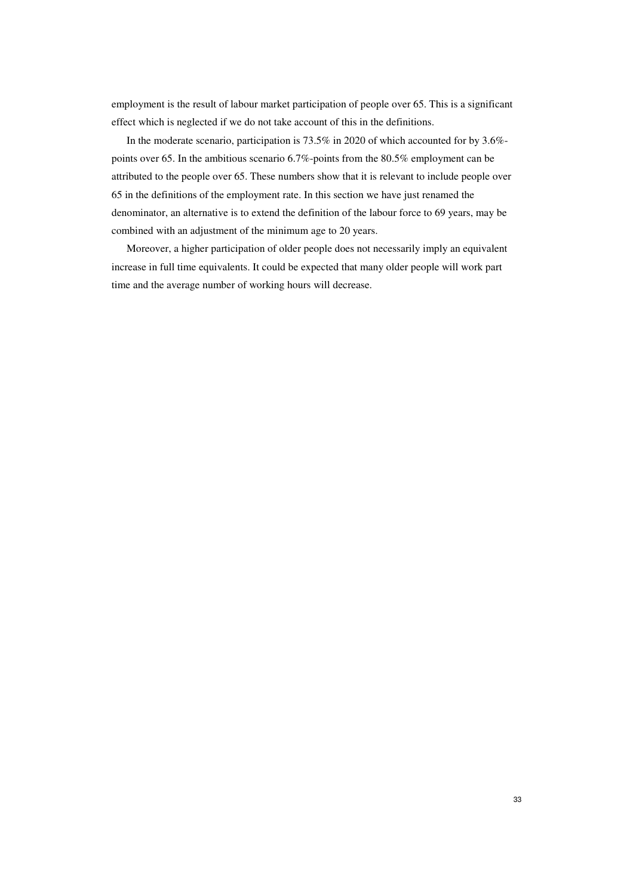employment is the result of labour market participation of people over 65. This is a significant effect which is neglected if we do not take account of this in the definitions.

In the moderate scenario, participation is 73.5% in 2020 of which accounted for by 3.6% points over 65. In the ambitious scenario 6.7%-points from the 80.5% employment can be attributed to the people over 65. These numbers show that it is relevant to include people over 65 in the definitions of the employment rate. In this section we have just renamed the denominator, an alternative is to extend the definition of the labour force to 69 years, may be combined with an adjustment of the minimum age to 20 years.

Moreover, a higher participation of older people does not necessarily imply an equivalent increase in full time equivalents. It could be expected that many older people will work part time and the average number of working hours will decrease.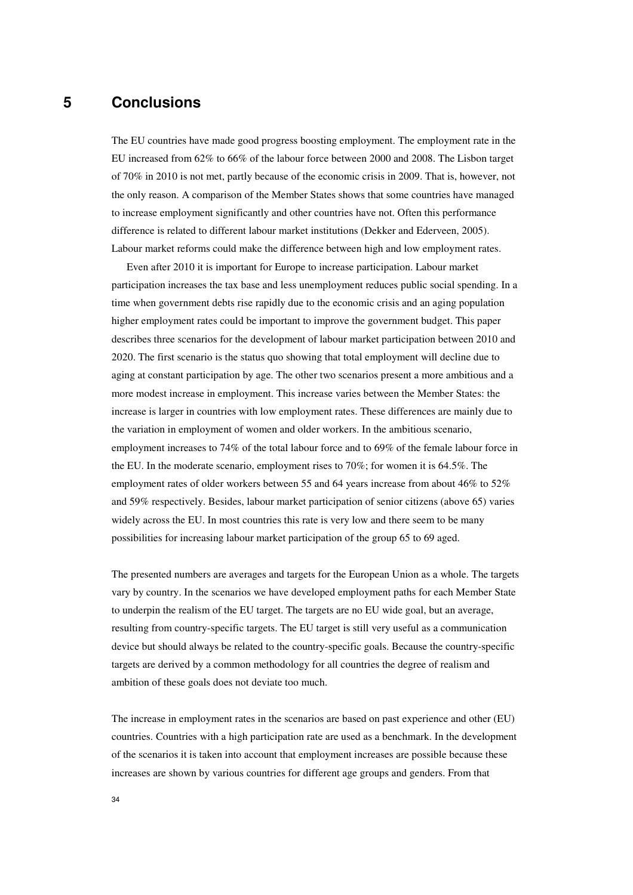## **5 Conclusions**

The EU countries have made good progress boosting employment. The employment rate in the EU increased from 62% to 66% of the labour force between 2000 and 2008. The Lisbon target of 70% in 2010 is not met, partly because of the economic crisis in 2009. That is, however, not the only reason. A comparison of the Member States shows that some countries have managed to increase employment significantly and other countries have not. Often this performance difference is related to different labour market institutions (Dekker and Ederveen, 2005). Labour market reforms could make the difference between high and low employment rates.

Even after 2010 it is important for Europe to increase participation. Labour market participation increases the tax base and less unemployment reduces public social spending. In a time when government debts rise rapidly due to the economic crisis and an aging population higher employment rates could be important to improve the government budget. This paper describes three scenarios for the development of labour market participation between 2010 and 2020. The first scenario is the status quo showing that total employment will decline due to aging at constant participation by age. The other two scenarios present a more ambitious and a more modest increase in employment. This increase varies between the Member States: the increase is larger in countries with low employment rates. These differences are mainly due to the variation in employment of women and older workers. In the ambitious scenario, employment increases to 74% of the total labour force and to 69% of the female labour force in the EU. In the moderate scenario, employment rises to 70%; for women it is 64.5%. The employment rates of older workers between 55 and 64 years increase from about 46% to 52% and 59% respectively. Besides, labour market participation of senior citizens (above 65) varies widely across the EU. In most countries this rate is very low and there seem to be many possibilities for increasing labour market participation of the group 65 to 69 aged.

The presented numbers are averages and targets for the European Union as a whole. The targets vary by country. In the scenarios we have developed employment paths for each Member State to underpin the realism of the EU target. The targets are no EU wide goal, but an average, resulting from country-specific targets. The EU target is still very useful as a communication device but should always be related to the country-specific goals. Because the country-specific targets are derived by a common methodology for all countries the degree of realism and ambition of these goals does not deviate too much.

The increase in employment rates in the scenarios are based on past experience and other (EU) countries. Countries with a high participation rate are used as a benchmark. In the development of the scenarios it is taken into account that employment increases are possible because these increases are shown by various countries for different age groups and genders. From that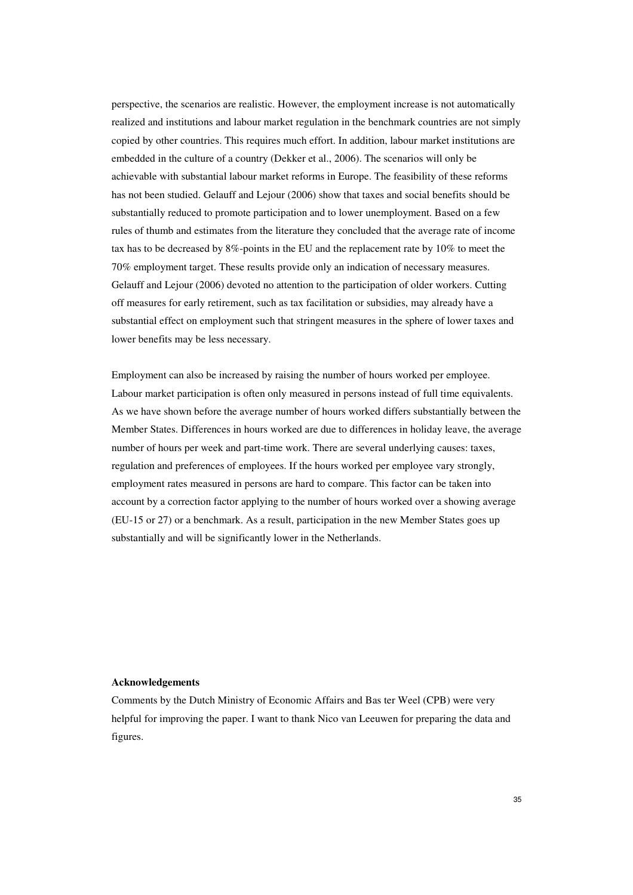perspective, the scenarios are realistic. However, the employment increase is not automatically realized and institutions and labour market regulation in the benchmark countries are not simply copied by other countries. This requires much effort. In addition, labour market institutions are embedded in the culture of a country (Dekker et al., 2006). The scenarios will only be achievable with substantial labour market reforms in Europe. The feasibility of these reforms has not been studied. Gelauff and Lejour (2006) show that taxes and social benefits should be substantially reduced to promote participation and to lower unemployment. Based on a few rules of thumb and estimates from the literature they concluded that the average rate of income tax has to be decreased by 8%-points in the EU and the replacement rate by 10% to meet the 70% employment target. These results provide only an indication of necessary measures. Gelauff and Lejour (2006) devoted no attention to the participation of older workers. Cutting off measures for early retirement, such as tax facilitation or subsidies, may already have a substantial effect on employment such that stringent measures in the sphere of lower taxes and lower benefits may be less necessary.

Employment can also be increased by raising the number of hours worked per employee. Labour market participation is often only measured in persons instead of full time equivalents. As we have shown before the average number of hours worked differs substantially between the Member States. Differences in hours worked are due to differences in holiday leave, the average number of hours per week and part-time work. There are several underlying causes: taxes, regulation and preferences of employees. If the hours worked per employee vary strongly, employment rates measured in persons are hard to compare. This factor can be taken into account by a correction factor applying to the number of hours worked over a showing average (EU-15 or 27) or a benchmark. As a result, participation in the new Member States goes up substantially and will be significantly lower in the Netherlands.

#### **Acknowledgements**

Comments by the Dutch Ministry of Economic Affairs and Bas ter Weel (CPB) were very helpful for improving the paper. I want to thank Nico van Leeuwen for preparing the data and figures.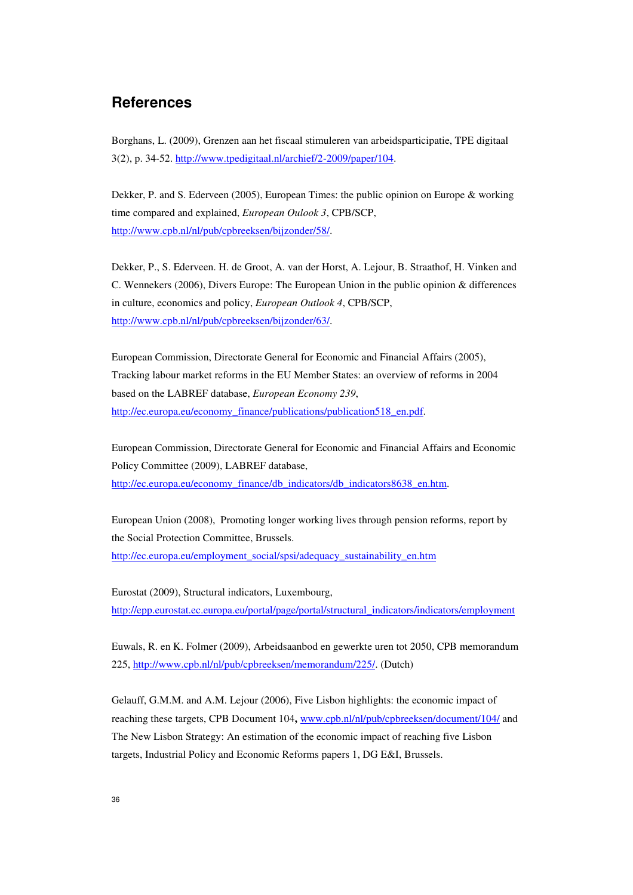## **References**

Borghans, L. (2009), Grenzen aan het fiscaal stimuleren van arbeidsparticipatie, TPE digitaal 3(2), p. 34-52. http://www.tpedigitaal.nl/archief/2-2009/paper/104.

Dekker, P. and S. Ederveen (2005), European Times: the public opinion on Europe & working time compared and explained, *European Oulook 3*, CPB/SCP, http://www.cpb.nl/nl/pub/cpbreeksen/bijzonder/58/.

Dekker, P., S. Ederveen. H. de Groot, A. van der Horst, A. Lejour, B. Straathof, H. Vinken and C. Wennekers (2006), Divers Europe: The European Union in the public opinion & differences in culture, economics and policy, *European Outlook 4*, CPB/SCP, http://www.cpb.nl/nl/pub/cpbreeksen/bijzonder/63/.

European Commission, Directorate General for Economic and Financial Affairs (2005), Tracking labour market reforms in the EU Member States: an overview of reforms in 2004 based on the LABREF database, *European Economy 239*, http://ec.europa.eu/economy\_finance/publications/publication518\_en.pdf.

European Commission, Directorate General for Economic and Financial Affairs and Economic Policy Committee (2009), LABREF database, http://ec.europa.eu/economy\_finance/db\_indicators/db\_indicators8638\_en.htm.

European Union (2008), Promoting longer working lives through pension reforms, report by the Social Protection Committee, Brussels. http://ec.europa.eu/employment\_social/spsi/adequacy\_sustainability\_en.htm

Eurostat (2009), Structural indicators, Luxembourg, http://epp.eurostat.ec.europa.eu/portal/page/portal/structural\_indicators/indicators/employment

Euwals, R. en K. Folmer (2009), Arbeidsaanbod en gewerkte uren tot 2050, CPB memorandum 225, http://www.cpb.nl/nl/pub/cpbreeksen/memorandum/225/. (Dutch)

Gelauff, G.M.M. and A.M. Lejour (2006), Five Lisbon highlights: the economic impact of reaching these targets, CPB Document 104**,** www.cpb.nl/nl/pub/cpbreeksen/document/104/ and The New Lisbon Strategy: An estimation of the economic impact of reaching five Lisbon targets, Industrial Policy and Economic Reforms papers 1, DG E&I, Brussels.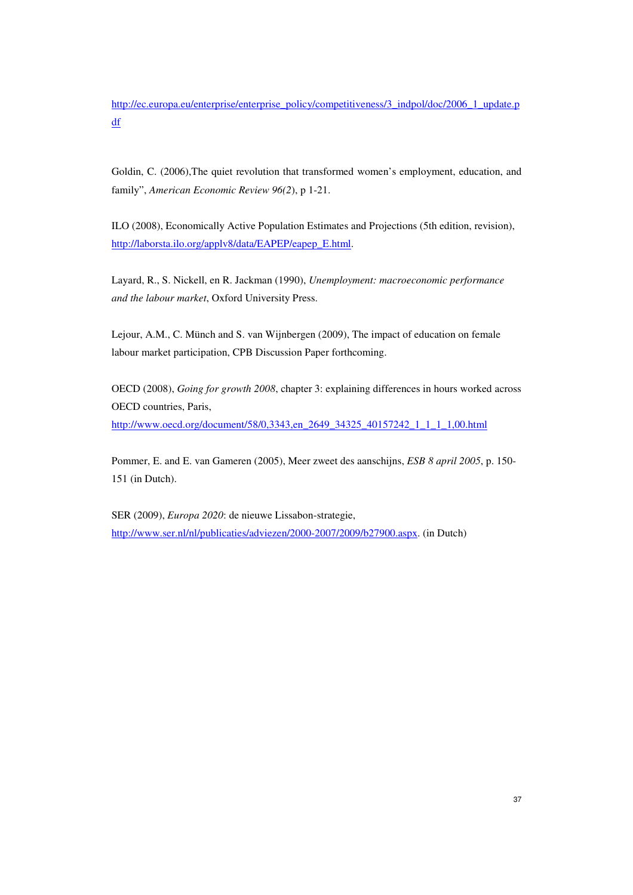http://ec.europa.eu/enterprise/enterprise\_policy/competitiveness/3\_indpol/doc/2006\_1\_update.p df

Goldin, C. (2006),The quiet revolution that transformed women's employment, education, and family", *American Economic Review 96(2*), p 1-21.

ILO (2008), Economically Active Population Estimates and Projections (5th edition, revision), http://laborsta.ilo.org/applv8/data/EAPEP/eapep\_E.html.

Layard, R., S. Nickell, en R. Jackman (1990), *Unemployment: macroeconomic performance and the labour market*, Oxford University Press.

Lejour, A.M., C. Münch and S. van Wijnbergen (2009), The impact of education on female labour market participation, CPB Discussion Paper forthcoming.

OECD (2008), *Going for growth 2008*, chapter 3: explaining differences in hours worked across OECD countries, Paris, http://www.oecd.org/document/58/0,3343,en\_2649\_34325\_40157242\_1\_1\_1\_1,00.html

Pommer, E. and E. van Gameren (2005), Meer zweet des aanschijns, *ESB 8 april 2005*, p. 150- 151 (in Dutch).

SER (2009), *Europa 2020*: de nieuwe Lissabon-strategie, http://www.ser.nl/nl/publicaties/adviezen/2000-2007/2009/b27900.aspx. (in Dutch)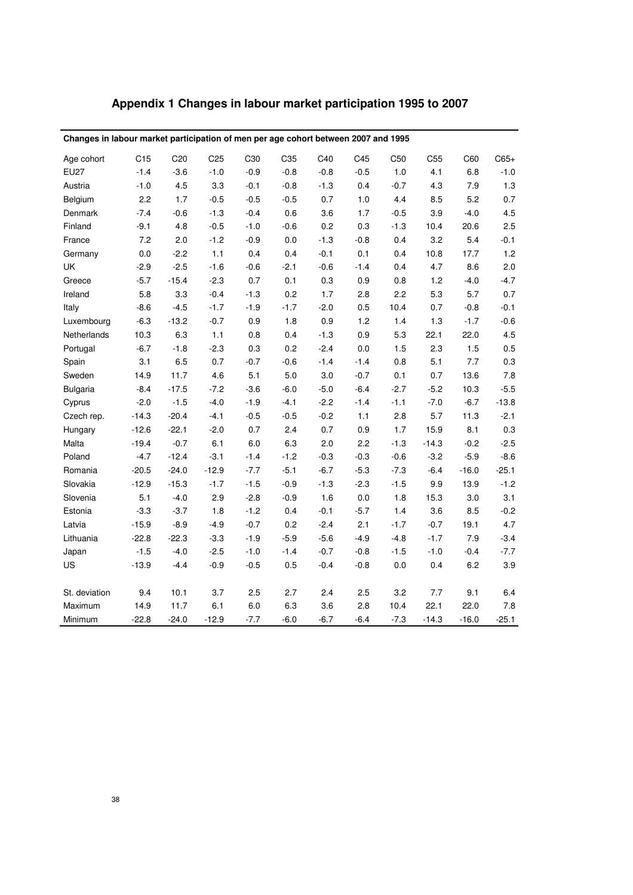| Appendix 1 Changes in labour market participation 1995 to 2007 |  |
|----------------------------------------------------------------|--|
|----------------------------------------------------------------|--|

| Changes in labour market participation of men per age cohort between 2007 and 1995 |         |                 |                 |         |        |        |        |                 |         |         |         |
|------------------------------------------------------------------------------------|---------|-----------------|-----------------|---------|--------|--------|--------|-----------------|---------|---------|---------|
| Age cohort                                                                         | C15     | C <sub>20</sub> | C <sub>25</sub> | C30     | C35    | C40    | C45    | C <sub>50</sub> | C55     | C60     | $C65+$  |
| <b>EU27</b>                                                                        | $-1.4$  | $-3.6$          | $-1.0$          | $-0.9$  | $-0.8$ | $-0.8$ | $-0.5$ | 1.0             | 4.1     | 6.8     | $-1.0$  |
| Austria                                                                            | $-1.0$  | 4.5             | 3.3             | $-0.1$  | $-0.8$ | $-1.3$ | 0.4    | $-0.7$          | 4.3     | 7.9     | $1.3$   |
| Belgium                                                                            | 2.2     | 1.7             | $-0.5$          | $-0.5$  | $-0.5$ | 0.7    | 1.0    | 4.4             | 8.5     | 5.2     | 0.7     |
| Denmark                                                                            | $-7.4$  | $-0.6$          | $-1.3$          | $-0.4$  | 0.6    | 3.6    | 1.7    | $-0.5$          | 3.9     | $-4.0$  | 4.5     |
| Finland                                                                            | $-9.1$  | 4.8             | $-0.5$          | $-1.0$  | $-0.6$ | 0.2    | 0.3    | $-1.3$          | 10.4    | 20.6    | 2.5     |
| France                                                                             | 7.2     | 2.0             | $-1.2$          | $-0.9$  | 0.0    | $-1.3$ | $-0.8$ | 0.4             | 3.2     | 5.4     | $-0.1$  |
| Germany                                                                            | 0.0     | $-2.2$          | $1.1$           | 0.4     | 0.4    | $-0.1$ | 0.1    | 0.4             | 10.8    | 17.7    | 1.2     |
| UK                                                                                 | $-2.9$  | $-2.5$          | $-1.6$          | $-0.6$  | $-2.1$ | $-0.6$ | $-1.4$ | 0.4             | 4.7     | 8.6     | 2.0     |
| Greece                                                                             | $-5.7$  | $-15.4$         | $-2.3$          | 0.7     | 0.1    | 0.3    | 0.9    | 0.8             | 1.2     | $-4.0$  | $-4.7$  |
| Ireland                                                                            | 5.8     | 3.3             | $-0.4$          | $-1.3$  | 0.2    | 1.7    | 2.8    | 2.2             | 5.3     | 5.7     | 0.7     |
| Italy                                                                              | $-8.6$  | $-4.5$          | $-1.7$          | $-1.9$  | $-1.7$ | $-2.0$ | 0.5    | 10.4            | 0.7     | $-0.8$  | $-0.1$  |
| Luxembourg                                                                         | $-6.3$  | $-13.2$         | $-0.7$          | 0.9     | 1.8    | 0.9    | 1.2    | 1.4             | 1.3     | $-1.7$  | $-0.6$  |
| Netherlands                                                                        | 10.3    | 6.3             | $1.1$           | 0.8     | 0.4    | $-1.3$ | 0.9    | 5.3             | 22.1    | 22.0    | 4.5     |
| Portugal                                                                           | $-6.7$  | $-1.8$          | $-2.3$          | 0.3     | 0.2    | $-2.4$ | 0.0    | 1.5             | 2.3     | 1.5     | 0.5     |
| Spain                                                                              | 3.1     | 6.5             | 0.7             | $-0.7$  | $-0.6$ | $-1.4$ | $-1.4$ | 0.8             | 5.1     | 7.7     | 0.3     |
| Sweden                                                                             | 14.9    | 11.7            | 4.6             | 5.1     | 5.0    | 3.0    | $-0.7$ | 0.1             | 0.7     | 13.6    | $7.8$   |
| <b>Bulgaria</b>                                                                    | $-8.4$  | $-17.5$         | $-7.2$          | $-3.6$  | $-6.0$ | $-5.0$ | $-6.4$ | $-2.7$          | $-5.2$  | 10.3    | $-5.5$  |
| Cyprus                                                                             | $-2.0$  | $-1.5$          | $-4.0$          | $-1.9$  | $-4.1$ | $-2.2$ | $-1.4$ | $-1.1$          | $-7.0$  | $-6.7$  | $-13.8$ |
| Czech rep.                                                                         | $-14.3$ | $-20.4$         | $-4.1$          | $-0.5$  | $-0.5$ | $-0.2$ | 1.1    | 2.8             | 5.7     | 11.3    | $-2.1$  |
| Hungary                                                                            | $-12.6$ | $-22.1$         | $-2.0$          | 0.7     | 2.4    | 0.7    | 0.9    | 1.7             | 15.9    | 8.1     | 0.3     |
| Malta                                                                              | $-19.4$ | $-0.7$          | 6.1             | $6.0\,$ | 6.3    | 2.0    | 2.2    | $-1.3$          | $-14.3$ | $-0.2$  | $-2.5$  |
| Poland                                                                             | $-4.7$  | $-12.4$         | $-3.1$          | $-1.4$  | $-1.2$ | $-0.3$ | $-0.3$ | $-0.6$          | $-3.2$  | $-5.9$  | $-8.6$  |
| Romania                                                                            | $-20.5$ | $-24.0$         | $-12.9$         | $-7.7$  | $-5.1$ | $-6.7$ | $-5.3$ | $-7.3$          | $-6.4$  | $-16.0$ | $-25.1$ |
| Slovakia                                                                           | $-12.9$ | $-15.3$         | $-1.7$          | $-1.5$  | $-0.9$ | $-1.3$ | $-2.3$ | $-1.5$          | 9.9     | 13.9    | $-1.2$  |
| Slovenia                                                                           | 5.1     | $-4.0$          | 2.9             | $-2.8$  | $-0.9$ | 1.6    | 0.0    | 1.8             | 15.3    | 3.0     | 3.1     |
| Estonia                                                                            | $-3.3$  | $-3.7$          | 1.8             | $-1.2$  | 0.4    | $-0.1$ | $-5.7$ | 1.4             | 3.6     | 8.5     | $-0.2$  |
| Latvia                                                                             | $-15.9$ | $-8.9$          | $-4.9$          | $-0.7$  | 0.2    | $-2.4$ | 2.1    | $-1.7$          | $-0.7$  | 19.1    | 4.7     |
| Lithuania                                                                          | $-22.8$ | $-22.3$         | $-3.3$          | $-1.9$  | $-5.9$ | $-5.6$ | $-4.9$ | $-4.8$          | $-1.7$  | 7.9     | $-3.4$  |
| Japan                                                                              | $-1.5$  | $-4.0$          | $-2.5$          | $-1.0$  | $-1.4$ | $-0.7$ | $-0.8$ | $-1.5$          | $-1.0$  | $-0.4$  | $-7.7$  |
| US                                                                                 | $-13.9$ | $-4.4$          | $-0.9$          | $-0.5$  | 0.5    | $-0.4$ | $-0.8$ | 0.0             | 0.4     | 6.2     | 3.9     |
|                                                                                    |         |                 |                 |         |        |        |        |                 |         |         |         |
| St. deviation                                                                      | 9.4     | 10.1            | 3.7             | 2.5     | 2.7    | 2.4    | 2.5    | 3.2             | 7.7     | 9.1     | 6.4     |
| Maximum                                                                            | 14.9    | 11.7            | 6.1             | 6.0     | 6.3    | 3.6    | 2.8    | 10.4            | 22.1    | 22.0    | $7.8\,$ |
| Minimum                                                                            | $-22.8$ | $-24.0$         | $-12.9$         | $-7.7$  | $-6.0$ | $-6.7$ | $-6.4$ | $-7.3$          | $-14.3$ | $-16.0$ | $-25.1$ |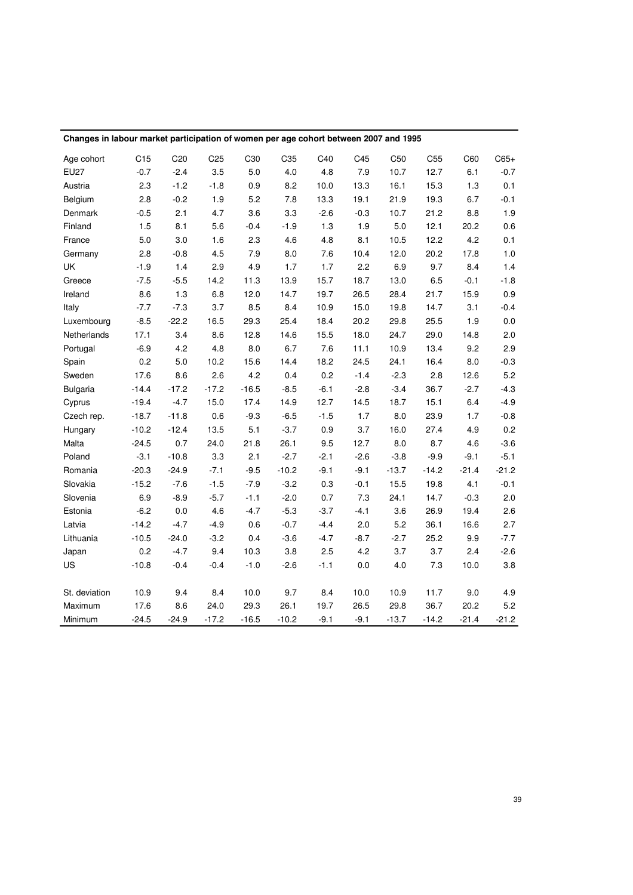| Changes in labour market participation of women per age cohort between 2007 and 1995 |                 |                 |                 |                 |         |        |        |                 |                 |         |         |
|--------------------------------------------------------------------------------------|-----------------|-----------------|-----------------|-----------------|---------|--------|--------|-----------------|-----------------|---------|---------|
| Age cohort                                                                           | C <sub>15</sub> | C <sub>20</sub> | C <sub>25</sub> | C <sub>30</sub> | C35     | C40    | C45    | C <sub>50</sub> | C <sub>55</sub> | C60     | $C65+$  |
| <b>EU27</b>                                                                          | $-0.7$          | $-2.4$          | 3.5             | 5.0             | 4.0     | 4.8    | 7.9    | 10.7            | 12.7            | 6.1     | $-0.7$  |
| Austria                                                                              | 2.3             | $-1.2$          | $-1.8$          | 0.9             | 8.2     | 10.0   | 13.3   | 16.1            | 15.3            | 1.3     | 0.1     |
| Belgium                                                                              | 2.8             | $-0.2$          | 1.9             | 5.2             | 7.8     | 13.3   | 19.1   | 21.9            | 19.3            | 6.7     | $-0.1$  |
| Denmark                                                                              | $-0.5$          | 2.1             | 4.7             | 3.6             | 3.3     | $-2.6$ | $-0.3$ | 10.7            | 21.2            | 8.8     | 1.9     |
| Finland                                                                              | 1.5             | 8.1             | 5.6             | $-0.4$          | $-1.9$  | 1.3    | 1.9    | 5.0             | 12.1            | 20.2    | 0.6     |
| France                                                                               | 5.0             | 3.0             | 1.6             | 2.3             | 4.6     | 4.8    | 8.1    | 10.5            | 12.2            | 4.2     | 0.1     |
| Germany                                                                              | 2.8             | $-0.8$          | 4.5             | 7.9             | 8.0     | 7.6    | 10.4   | 12.0            | 20.2            | 17.8    | 1.0     |
| UK                                                                                   | $-1.9$          | 1.4             | 2.9             | 4.9             | 1.7     | 1.7    | 2.2    | 6.9             | 9.7             | 8.4     | 1.4     |
| Greece                                                                               | $-7.5$          | $-5.5$          | 14.2            | 11.3            | 13.9    | 15.7   | 18.7   | 13.0            | 6.5             | $-0.1$  | $-1.8$  |
| Ireland                                                                              | 8.6             | 1.3             | 6.8             | 12.0            | 14.7    | 19.7   | 26.5   | 28.4            | 21.7            | 15.9    | 0.9     |
| Italy                                                                                | $-7.7$          | $-7.3$          | 3.7             | 8.5             | 8.4     | 10.9   | 15.0   | 19.8            | 14.7            | 3.1     | $-0.4$  |
| Luxembourg                                                                           | $-8.5$          | $-22.2$         | 16.5            | 29.3            | 25.4    | 18.4   | 20.2   | 29.8            | 25.5            | 1.9     | $0.0\,$ |
| Netherlands                                                                          | 17.1            | 3.4             | 8.6             | 12.8            | 14.6    | 15.5   | 18.0   | 24.7            | 29.0            | 14.8    | 2.0     |
| Portugal                                                                             | $-6.9$          | 4.2             | 4.8             | 8.0             | 6.7     | 7.6    | 11.1   | 10.9            | 13.4            | 9.2     | 2.9     |
| Spain                                                                                | 0.2             | 5.0             | 10.2            | 15.6            | 14.4    | 18.2   | 24.5   | 24.1            | 16.4            | 8.0     | $-0.3$  |
| Sweden                                                                               | 17.6            | 8.6             | 2.6             | 4.2             | 0.4     | 0.2    | $-1.4$ | $-2.3$          | 2.8             | 12.6    | 5.2     |
| <b>Bulgaria</b>                                                                      | $-14.4$         | $-17.2$         | $-17.2$         | $-16.5$         | $-8.5$  | $-6.1$ | $-2.8$ | $-3.4$          | 36.7            | $-2.7$  | $-4.3$  |
| Cyprus                                                                               | $-19.4$         | $-4.7$          | 15.0            | 17.4            | 14.9    | 12.7   | 14.5   | 18.7            | 15.1            | 6.4     | $-4.9$  |
| Czech rep.                                                                           | $-18.7$         | $-11.8$         | 0.6             | $-9.3$          | $-6.5$  | $-1.5$ | 1.7    | 8.0             | 23.9            | 1.7     | $-0.8$  |
| Hungary                                                                              | $-10.2$         | $-12.4$         | 13.5            | 5.1             | $-3.7$  | 0.9    | 3.7    | 16.0            | 27.4            | 4.9     | 0.2     |
| Malta                                                                                | $-24.5$         | 0.7             | 24.0            | 21.8            | 26.1    | 9.5    | 12.7   | 8.0             | 8.7             | 4.6     | $-3.6$  |
| Poland                                                                               | $-3.1$          | $-10.8$         | 3.3             | 2.1             | $-2.7$  | $-2.1$ | $-2.6$ | $-3.8$          | $-9.9$          | $-9.1$  | $-5.1$  |
| Romania                                                                              | $-20.3$         | $-24.9$         | $-7.1$          | $-9.5$          | $-10.2$ | $-9.1$ | $-9.1$ | $-13.7$         | $-14.2$         | $-21.4$ | $-21.2$ |
| Slovakia                                                                             | $-15.2$         | $-7.6$          | $-1.5$          | $-7.9$          | $-3.2$  | 0.3    | $-0.1$ | 15.5            | 19.8            | 4.1     | $-0.1$  |
| Slovenia                                                                             | 6.9             | $-8.9$          | $-5.7$          | $-1.1$          | $-2.0$  | 0.7    | 7.3    | 24.1            | 14.7            | $-0.3$  | 2.0     |
| Estonia                                                                              | $-6.2$          | 0.0             | 4.6             | $-4.7$          | $-5.3$  | $-3.7$ | $-4.1$ | 3.6             | 26.9            | 19.4    | 2.6     |
| Latvia                                                                               | $-14.2$         | $-4.7$          | $-4.9$          | 0.6             | $-0.7$  | $-4.4$ | 2.0    | 5.2             | 36.1            | 16.6    | 2.7     |
| Lithuania                                                                            | $-10.5$         | $-24.0$         | $-3.2$          | 0.4             | $-3.6$  | $-4.7$ | $-8.7$ | $-2.7$          | 25.2            | 9.9     | $-7.7$  |
| Japan                                                                                | 0.2             | $-4.7$          | 9.4             | 10.3            | 3.8     | 2.5    | 4.2    | 3.7             | 3.7             | 2.4     | $-2.6$  |
| US                                                                                   | $-10.8$         | $-0.4$          | $-0.4$          | $-1.0$          | $-2.6$  | $-1.1$ | 0.0    | 4.0             | 7.3             | 10.0    | 3.8     |
|                                                                                      |                 |                 |                 |                 |         |        |        |                 |                 |         |         |
| St. deviation                                                                        | 10.9            | 9.4             | 8.4             | 10.0            | 9.7     | 8.4    | 10.0   | 10.9            | 11.7            | 9.0     | 4.9     |
| Maximum                                                                              | 17.6            | 8.6             | 24.0            | 29.3            | 26.1    | 19.7   | 26.5   | 29.8            | 36.7            | 20.2    | 5.2     |
| Minimum                                                                              | $-24.5$         | $-24.9$         | $-17.2$         | $-16.5$         | $-10.2$ | $-9.1$ | $-9.1$ | $-13.7$         | $-14.2$         | $-21.4$ | $-21.2$ |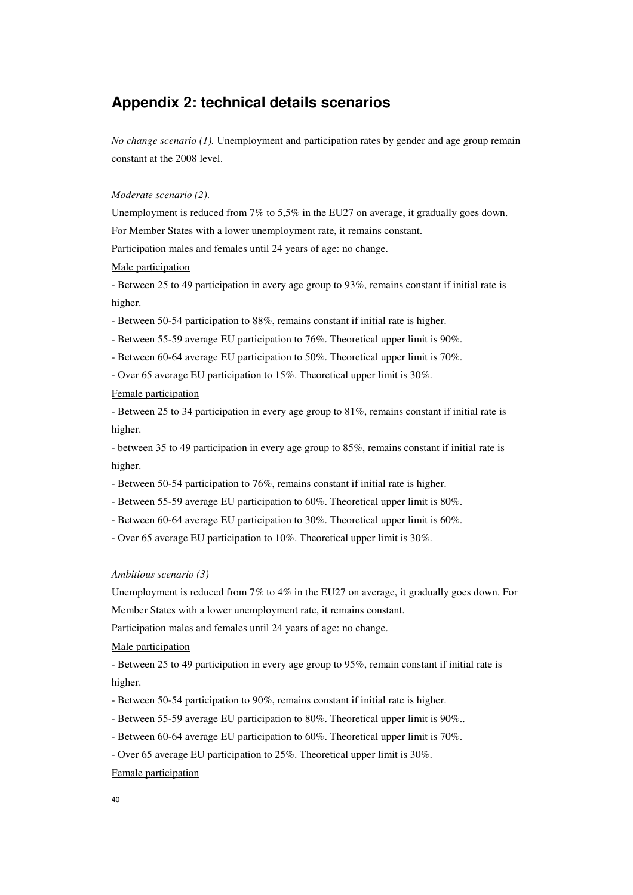## **Appendix 2: technical details scenarios**

*No change scenario (1).* Unemployment and participation rates by gender and age group remain constant at the 2008 level.

#### *Moderate scenario (2)*.

Unemployment is reduced from 7% to 5,5% in the EU27 on average, it gradually goes down. For Member States with a lower unemployment rate, it remains constant.

Participation males and females until 24 years of age: no change.

#### Male participation

- Between 25 to 49 participation in every age group to 93%, remains constant if initial rate is higher.

- Between 50-54 participation to 88%, remains constant if initial rate is higher.

- Between 55-59 average EU participation to 76%. Theoretical upper limit is 90%.

- Between 60-64 average EU participation to 50%. Theoretical upper limit is 70%.

- Over 65 average EU participation to 15%. Theoretical upper limit is 30%.

#### Female participation

- Between 25 to 34 participation in every age group to 81%, remains constant if initial rate is higher.

- between 35 to 49 participation in every age group to 85%, remains constant if initial rate is higher.

- Between 50-54 participation to 76%, remains constant if initial rate is higher.
- Between 55-59 average EU participation to 60%. Theoretical upper limit is 80%.
- Between 60-64 average EU participation to 30%. Theoretical upper limit is 60%.

- Over 65 average EU participation to 10%. Theoretical upper limit is 30%.

#### *Ambitious scenario (3)*

Unemployment is reduced from 7% to 4% in the EU27 on average, it gradually goes down. For Member States with a lower unemployment rate, it remains constant.

Participation males and females until 24 years of age: no change.

Male participation

- Between 25 to 49 participation in every age group to 95%, remain constant if initial rate is higher.

- Between 50-54 participation to 90%, remains constant if initial rate is higher.

- Between 55-59 average EU participation to 80%. Theoretical upper limit is 90%..

- Between 60-64 average EU participation to 60%. Theoretical upper limit is 70%.

- Over 65 average EU participation to 25%. Theoretical upper limit is 30%.

### Female participation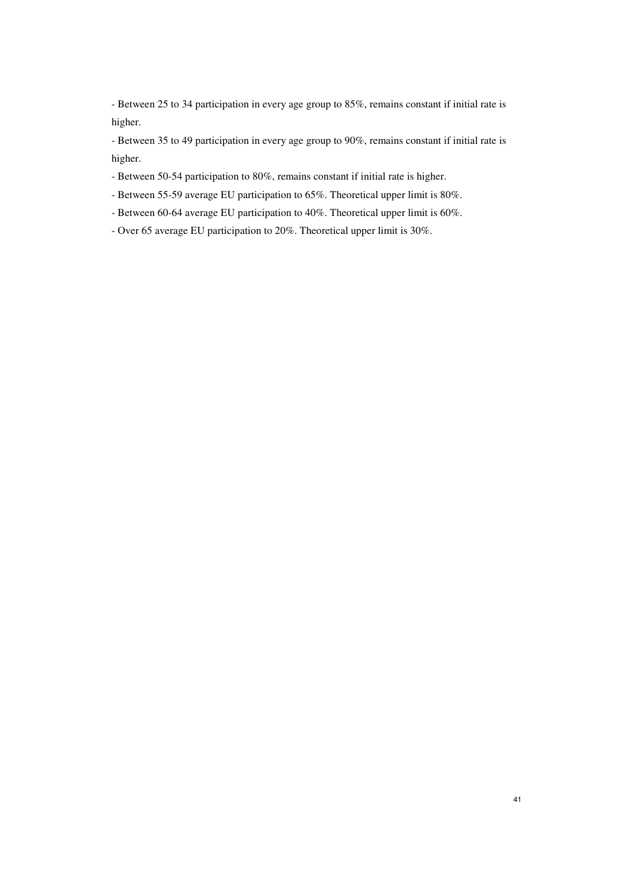- Between 25 to 34 participation in every age group to 85%, remains constant if initial rate is higher.

- Between 35 to 49 participation in every age group to 90%, remains constant if initial rate is higher.

- Between 50-54 participation to 80%, remains constant if initial rate is higher.
- Between 55-59 average EU participation to 65%. Theoretical upper limit is 80%.
- Between 60-64 average EU participation to 40%. Theoretical upper limit is 60%.
- Over 65 average EU participation to 20%. Theoretical upper limit is 30%.